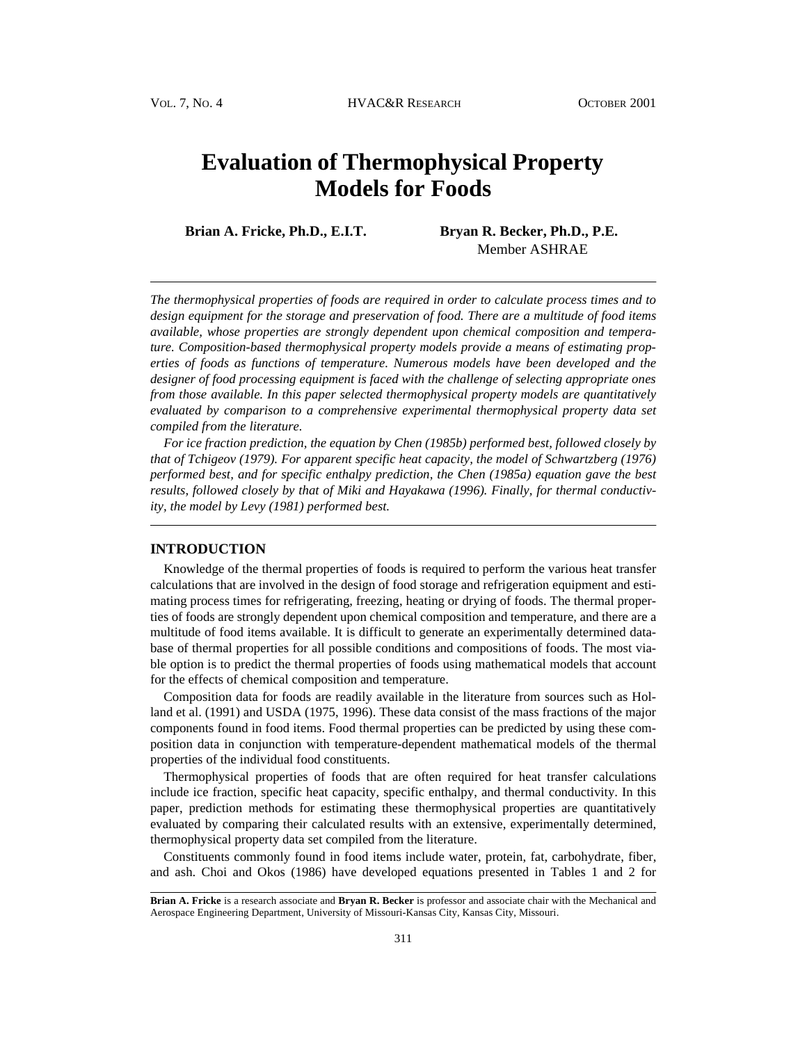# **Evaluation of Thermophysical Property Models for Foods**

**Brian A. Fricke, Ph.D., E.I.T. Bryan R. Becker, Ph.D., P.E.** Member ASHRAE

*The thermophysical properties of foods are required in order to calculate process times and to design equipment for the storage and preservation of food. There are a multitude of food items available, whose properties are strongly dependent upon chemical composition and temperature. Composition-based thermophysical property models provide a means of estimating properties of foods as functions of temperature. Numerous models have been developed and the designer of food processing equipment is faced with the challenge of selecting appropriate ones from those available. In this paper selected thermophysical property models are quantitatively evaluated by comparison to a comprehensive experimental thermophysical property data set compiled from the literature.* 

*For ice fraction prediction, the equation by Chen (1985b) performed best, followed closely by that of Tchigeov (1979). For apparent specific heat capacity, the model of Schwartzberg (1976) performed best, and for specific enthalpy prediction, the Chen (1985a) equation gave the best results, followed closely by that of Miki and Hayakawa (1996). Finally, for thermal conductivity, the model by Levy (1981) performed best.*

### **INTRODUCTION**

Knowledge of the thermal properties of foods is required to perform the various heat transfer calculations that are involved in the design of food storage and refrigeration equipment and estimating process times for refrigerating, freezing, heating or drying of foods. The thermal properties of foods are strongly dependent upon chemical composition and temperature, and there are a multitude of food items available. It is difficult to generate an experimentally determined database of thermal properties for all possible conditions and compositions of foods. The most viable option is to predict the thermal properties of foods using mathematical models that account for the effects of chemical composition and temperature.

Composition data for foods are readily available in the literature from sources such as Holland et al. (1991) and USDA (1975, 1996). These data consist of the mass fractions of the major components found in food items. Food thermal properties can be predicted by using these composition data in conjunction with temperature-dependent mathematical models of the thermal properties of the individual food constituents.

Thermophysical properties of foods that are often required for heat transfer calculations include ice fraction, specific heat capacity, specific enthalpy, and thermal conductivity. In this paper, prediction methods for estimating these thermophysical properties are quantitatively evaluated by comparing their calculated results with an extensive, experimentally determined, thermophysical property data set compiled from the literature.

Constituents commonly found in food items include water, protein, fat, carbohydrate, fiber, and ash. Choi and Okos (1986) have developed equations presented in Tables 1 and 2 for

**Brian A. Fricke** is a research associate and **Bryan R. Becker** is professor and associate chair with the Mechanical and Aerospace Engineering Department, University of Missouri-Kansas City, Kansas City, Missouri.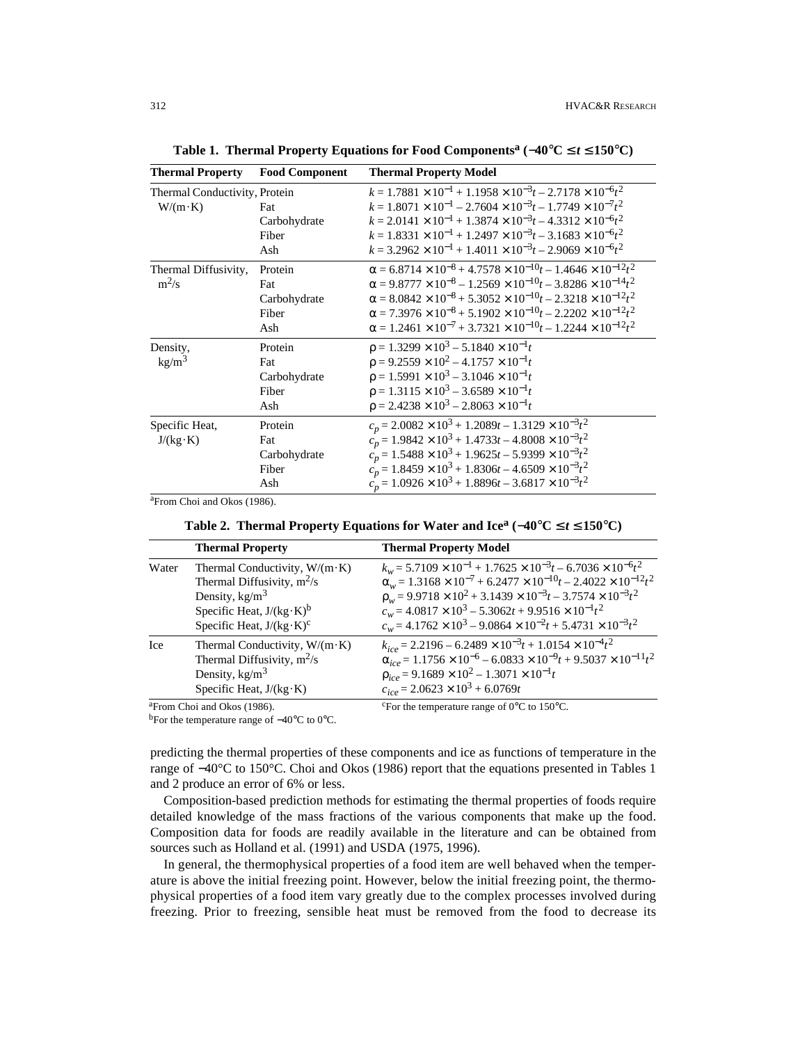| <b>Thermal Property</b>                          | <b>Food Component</b>                          | <b>Thermal Property Model</b>                                                                                                                                                                                                                                                                                                                                                                                                                                                           |
|--------------------------------------------------|------------------------------------------------|-----------------------------------------------------------------------------------------------------------------------------------------------------------------------------------------------------------------------------------------------------------------------------------------------------------------------------------------------------------------------------------------------------------------------------------------------------------------------------------------|
| Thermal Conductivity, Protein<br>$W/(m \cdot K)$ | Fat<br>Carbohydrate<br>Fiber<br>Ash            | $k = 1.7881 \times 10^{-1} + 1.1958 \times 10^{-3}t - 2.7178 \times 10^{-6}t^2$<br>$k = 1.8071 \times 10^{-1} - 2.7604 \times 10^{-3}t - 1.7749 \times 10^{-7}t^2$<br>$k = 2.0141 \times 10^{-1} + 1.3874 \times 10^{-3}t - 4.3312 \times 10^{-6}t^2$<br>$k = 1.8331 \times 10^{-1} + 1.2497 \times 10^{-3}t - 3.1683 \times 10^{-6}t^2$<br>$k = 3.2962 \times 10^{-1} + 1.4011 \times 10^{-3}t - 2.9069 \times 10^{-6}t^2$                                                             |
| Thermal Diffusivity,<br>$m^2/s$                  | Protein<br>Fat<br>Carbohydrate<br>Fiber<br>Ash | $\alpha = 6.8714 \times 10^{-8} + 4.7578 \times 10^{-10}t - 1.4646 \times 10^{-12}t^2$<br>$\alpha = 9.8777 \times 10^{-8} - 1.2569 \times 10^{-10}t - 3.8286 \times 10^{-14}t^2$<br>$\alpha = 8.0842 \times 10^{-8} + 5.3052 \times 10^{-10}t - 2.3218 \times 10^{-12}t^2$<br>$\alpha$ = 7.3976 × 10 <sup>-8</sup> + 5.1902 × 10 <sup>-10</sup> t – 2.2202 × 10 <sup>-12</sup> t <sup>2</sup><br>$\alpha = 1.2461 \times 10^{-7} + 3.7321 \times 10^{-10}t - 1.2244 \times 10^{-12}t^2$ |
| Density,<br>$\text{kg/m}^3$                      | Protein<br>Fat<br>Carbohydrate<br>Fiber<br>Ash | $p = 1.3299 \times 10^3 - 5.1840 \times 10^{-1}t$<br>$p = 9.2559 \times 10^2 - 4.1757 \times 10^{-1}t$<br>$p = 1.5991 \times 10^3 - 3.1046 \times 10^{-1}t$<br>$p = 1.3115 \times 10^3 - 3.6589 \times 10^{-1}t$<br>$p = 2.4238 \times 10^3 - 2.8063 \times 10^{-1}t$                                                                                                                                                                                                                   |
| Specific Heat,<br>$J/(kg \cdot K)$               | Protein<br>Fat<br>Carbohydrate<br>Fiber<br>Ash | $c_p = 2.0082 \times 10^3 + 1.2089t - 1.3129 \times 10^{-3}t^2$<br>$c_p = 1.9842 \times 10^3 + 1.4733t - 4.8008 \times 10^{-3}t^2$<br>$c_p = 1.5488 \times 10^3 + 1.9625t - 5.9399 \times 10^{-3}t^2$<br>$c_p = 1.8459 \times 10^3 + 1.8306t - 4.6509 \times 10^{-3}t^2$<br>$c_p = 1.0926 \times 10^3 + 1.8896t - 3.6817 \times 10^{-3}t^2$                                                                                                                                             |

Table 1. Thermal Property Equations for Food Components<sup>a</sup> (−40<sup>°</sup>C ≤ *t* ≤ 150<sup>°</sup>C)

<sup>a</sup>From Choi and Okos (1986).

|  | Table 2. Thermal Property Equations for Water and Ice <sup>a</sup> ( $-40^{\circ}$ C $\leq t \leq 150^{\circ}$ C) |  |  |  |  |
|--|-------------------------------------------------------------------------------------------------------------------|--|--|--|--|
|--|-------------------------------------------------------------------------------------------------------------------|--|--|--|--|

|       | <b>Thermal Property</b>                                                                                                                                                     | <b>Thermal Property Model</b>                                                                                                                                                                                                                                                                                                                                                                                                                      |
|-------|-----------------------------------------------------------------------------------------------------------------------------------------------------------------------------|----------------------------------------------------------------------------------------------------------------------------------------------------------------------------------------------------------------------------------------------------------------------------------------------------------------------------------------------------------------------------------------------------------------------------------------------------|
| Water | Thermal Conductivity, $W/(m \cdot K)$<br>Thermal Diffusivity, $m^2/s$<br>Density, $\text{kg/m}^3$<br>Specific Heat, $J/(kg \cdot K)^b$<br>Specific Heat, $J/(kg \cdot K)^c$ | $k_w = 5.7109 \times 10^{-1} + 1.7625 \times 10^{-3}t - 6.7036 \times 10^{-6}t^2$<br>$\alpha_w = 1.3168 \times 10^{-7} + 6.2477 \times 10^{-10}t - 2.4022 \times 10^{-12}t^2$<br>$\rho_w$ = 9.9718 × 10 <sup>2</sup> + 3.1439 × 10 <sup>-3</sup> t – 3.7574 × 10 <sup>-3</sup> t <sup>2</sup><br>$c_w = 4.0817 \times 10^3 - 5.3062t + 9.9516 \times 10^{-1}t^2$<br>$c_w = 4.1762 \times 10^3 - 9.0864 \times 10^{-2}t + 5.4731 \times 10^{-3}t^2$ |
| Ice   | Thermal Conductivity, $W/(m \cdot K)$<br>Thermal Diffusivity, $m^2/s$<br>Density, $\text{kg/m}^3$<br>Specific Heat, $J/(kg \cdot K)$                                        | $k_{ice} = 2.2196 - 6.2489 \times 10^{-3} t + 1.0154 \times 10^{-4} t^2$<br>$\alpha_{ice} = 1.1756 \times 10^{-6} - 6.0833 \times 10^{-9} t + 9.5037 \times 10^{-11} t^2$<br>$\rho_{ice}$ = 9.1689 × 10 <sup>2</sup> – 1.3071 × 10 <sup>-1</sup> t<br>$c_{ice} = 2.0623 \times 10^3 + 6.0769t$                                                                                                                                                     |

<sup>a</sup>From Choi and Okos (1986).

<sup>c</sup>For the temperature range of  $0^{\circ}$ C to 150<sup>°</sup>C.

bFor the temperature range of −40°C to 0°C.

predicting the thermal properties of these components and ice as functions of temperature in the range of −40°C to 150°C. Choi and Okos (1986) report that the equations presented in Tables 1 and 2 produce an error of 6% or less.

Composition-based prediction methods for estimating the thermal properties of foods require detailed knowledge of the mass fractions of the various components that make up the food. Composition data for foods are readily available in the literature and can be obtained from sources such as Holland et al. (1991) and USDA (1975, 1996).

In general, the thermophysical properties of a food item are well behaved when the temperature is above the initial freezing point. However, below the initial freezing point, the thermophysical properties of a food item vary greatly due to the complex processes involved during freezing. Prior to freezing, sensible heat must be removed from the food to decrease its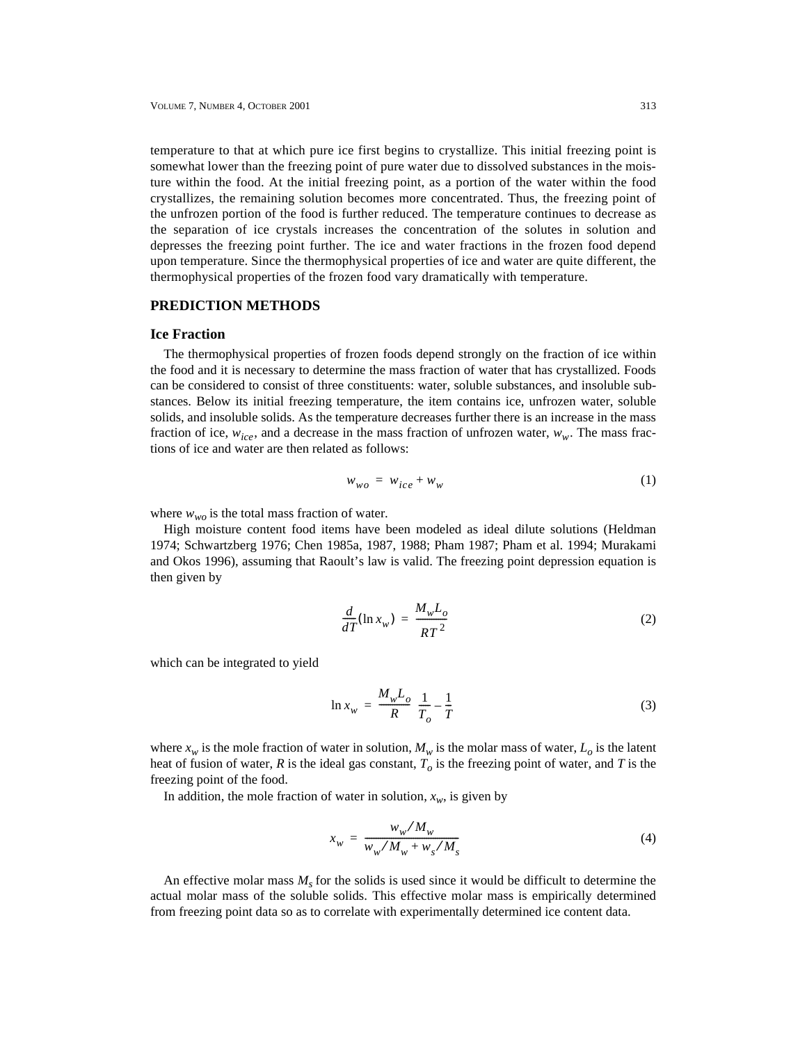temperature to that at which pure ice first begins to crystallize. This initial freezing point is somewhat lower than the freezing point of pure water due to dissolved substances in the moisture within the food. At the initial freezing point, as a portion of the water within the food crystallizes, the remaining solution becomes more concentrated. Thus, the freezing point of the unfrozen portion of the food is further reduced. The temperature continues to decrease as the separation of ice crystals increases the concentration of the solutes in solution and depresses the freezing point further. The ice and water fractions in the frozen food depend upon temperature. Since the thermophysical properties of ice and water are quite different, the thermophysical properties of the frozen food vary dramatically with temperature.

## **PREDICTION METHODS**

#### **Ice Fraction**

The thermophysical properties of frozen foods depend strongly on the fraction of ice within the food and it is necessary to determine the mass fraction of water that has crystallized. Foods can be considered to consist of three constituents: water, soluble substances, and insoluble substances. Below its initial freezing temperature, the item contains ice, unfrozen water, soluble solids, and insoluble solids. As the temperature decreases further there is an increase in the mass fraction of ice,  $w_{ice}$ , and a decrease in the mass fraction of unfrozen water,  $w_w$ . The mass fractions of ice and water are then related as follows:

$$
w_{wo} = w_{ice} + w_w \tag{1}
$$

where  $w_{wo}$  is the total mass fraction of water.

High moisture content food items have been modeled as ideal dilute solutions (Heldman 1974; Schwartzberg 1976; Chen 1985a, 1987, 1988; Pham 1987; Pham et al. 1994; Murakami and Okos 1996), assuming that Raoult's law is valid. The freezing point depression equation is then given by

$$
\frac{d}{dT}(\ln x_w) = \frac{M_w L_o}{RT^2} \tag{2}
$$

which can be integrated to yield

$$
\ln x_w = \frac{M_w L_o}{R} \left(\frac{1}{T_o} - \frac{1}{T}\right) \tag{3}
$$

where  $x_w$  is the mole fraction of water in solution,  $M_w$  is the molar mass of water,  $L_o$  is the latent heat of fusion of water,  $R$  is the ideal gas constant,  $T<sub>o</sub>$  is the freezing point of water, and  $T$  is the freezing point of the food.

In addition, the mole fraction of water in solution,  $x_w$ , is given by

$$
x_w = \frac{w_w / M_w}{w_w / M_w + w_s / M_s} \tag{4}
$$

An effective molar mass  $M_s$  for the solids is used since it would be difficult to determine the actual molar mass of the soluble solids. This effective molar mass is empirically determined from freezing point data so as to correlate with experimentally determined ice content data.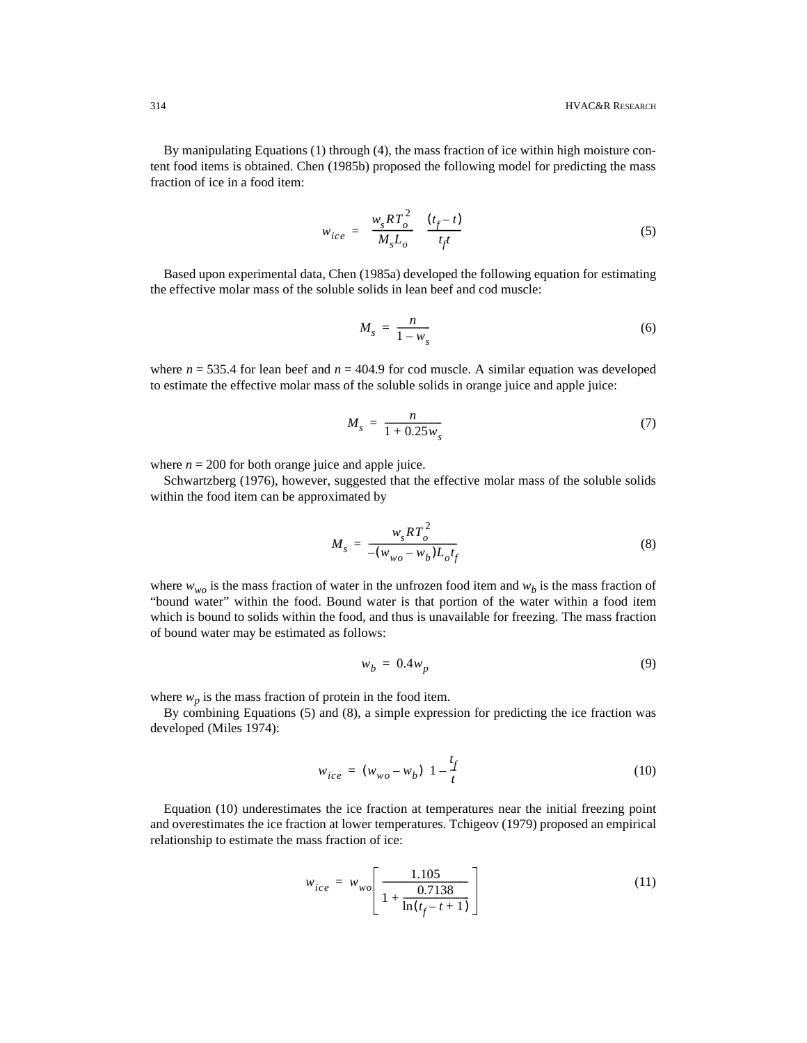By manipulating Equations (1) through (4), the mass fraction of ice within high moisture content food items is obtained. Chen (1985b) proposed the following model for predicting the mass fraction of ice in a food item:

$$
w_{ice} = \left(\frac{w_s R T_o^2}{M_s L_o}\right) \left(\frac{(t_f - t)}{t_f t}\right)
$$
\n(5)

Based upon experimental data, Chen (1985a) developed the following equation for estimating the effective molar mass of the soluble solids in lean beef and cod muscle:

$$
M_s = \frac{n}{1 - w_s} \tag{6}
$$

where  $n = 535.4$  for lean beef and  $n = 404.9$  for cod muscle. A similar equation was developed to estimate the effective molar mass of the soluble solids in orange juice and apple juice:

$$
M_s = \frac{n}{1 + 0.25w_s} \tag{7}
$$

where  $n = 200$  for both orange juice and apple juice.

Schwartzberg (1976), however, suggested that the effective molar mass of the soluble solids within the food item can be approximated by

$$
M_{s} = \frac{w_{s}RT_{o}^{2}}{-(w_{wo} - w_{b})L_{o}t_{f}}
$$
(8)

where  $w_{wa}$  is the mass fraction of water in the unfrozen food item and  $w_b$  is the mass fraction of "bound water" within the food. Bound water is that portion of the water within a food item which is bound to solids within the food, and thus is unavailable for freezing. The mass fraction of bound water may be estimated as follows:

$$
w_b = 0.4w_p \tag{9}
$$

where  $w_p$  is the mass fraction of protein in the food item.

By combining Equations (5) and (8), a simple expression for predicting the ice fraction was developed (Miles 1974):

$$
w_{ice} = (w_{wo} - w_b) \left( 1 - \frac{t_f}{t} \right)
$$
 (10)

Equation (10) underestimates the ice fraction at temperatures near the initial freezing point and overestimates the ice fraction at lower temperatures. Tchigeov (1979) proposed an empirical relationship to estimate the mass fraction of ice:

$$
w_{ice} = w_{wo} \left[ \frac{1.105}{1 + \frac{0.7138}{\ln(t_f - t + 1)}} \right]
$$
 (11)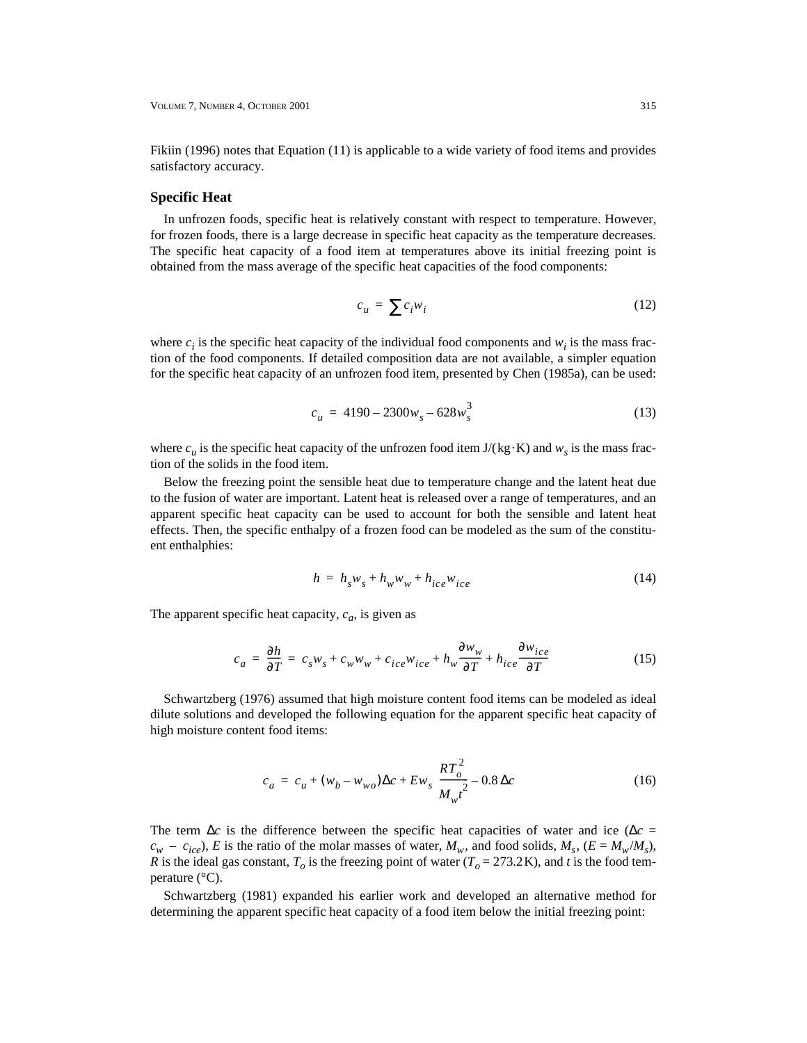Fikiin (1996) notes that Equation (11) is applicable to a wide variety of food items and provides satisfactory accuracy.

#### **Specific Heat**

In unfrozen foods, specific heat is relatively constant with respect to temperature. However, for frozen foods, there is a large decrease in specific heat capacity as the temperature decreases. The specific heat capacity of a food item at temperatures above its initial freezing point is obtained from the mass average of the specific heat capacities of the food components:

$$
c_u = \sum c_i w_i \tag{12}
$$

where  $c_i$  is the specific heat capacity of the individual food components and  $w_i$  is the mass fraction of the food components. If detailed composition data are not available, a simpler equation for the specific heat capacity of an unfrozen food item, presented by Chen (1985a), can be used:

$$
c_u = 4190 - 2300w_s - 628w_s^3 \tag{13}
$$

where  $c_u$  is the specific heat capacity of the unfrozen food item J/(kg·K) and  $w_s$  is the mass fraction of the solids in the food item.

Below the freezing point the sensible heat due to temperature change and the latent heat due to the fusion of water are important. Latent heat is released over a range of temperatures, and an apparent specific heat capacity can be used to account for both the sensible and latent heat effects. Then, the specific enthalpy of a frozen food can be modeled as the sum of the constituent enthalphies:

$$
h = h_s w_s + h_w w_w + h_{ice} w_{ice}
$$
\n<sup>(14)</sup>

The apparent specific heat capacity,  $c_a$ , is given as

$$
c_a = \frac{\partial h}{\partial T} = c_s w_s + c_w w_w + c_{ice} w_{ice} + h_w \frac{\partial w_w}{\partial T} + h_{ice} \frac{\partial w_{ice}}{\partial T}
$$
(15)

Schwartzberg (1976) assumed that high moisture content food items can be modeled as ideal dilute solutions and developed the following equation for the apparent specific heat capacity of high moisture content food items:

$$
c_a = c_u + (w_b - w_{wo})\Delta c + E w_s \left(\frac{RT_o^2}{M_w t^2} - 0.8 \Delta c\right)
$$
 (16)

The term  $\Delta c$  is the difference between the specific heat capacities of water and ice ( $\Delta c$  =  $c_w - c_{ice}$ , *E* is the ratio of the molar masses of water,  $M_w$ , and food solids,  $M_s$ ,  $(E = M_w/M_s)$ , *R* is the ideal gas constant,  $T<sub>o</sub>$  is the freezing point of water ( $T<sub>o</sub> = 273.2$ K), and *t* is the food temperature  $(^{\circ}C)$ .

Schwartzberg (1981) expanded his earlier work and developed an alternative method for determining the apparent specific heat capacity of a food item below the initial freezing point: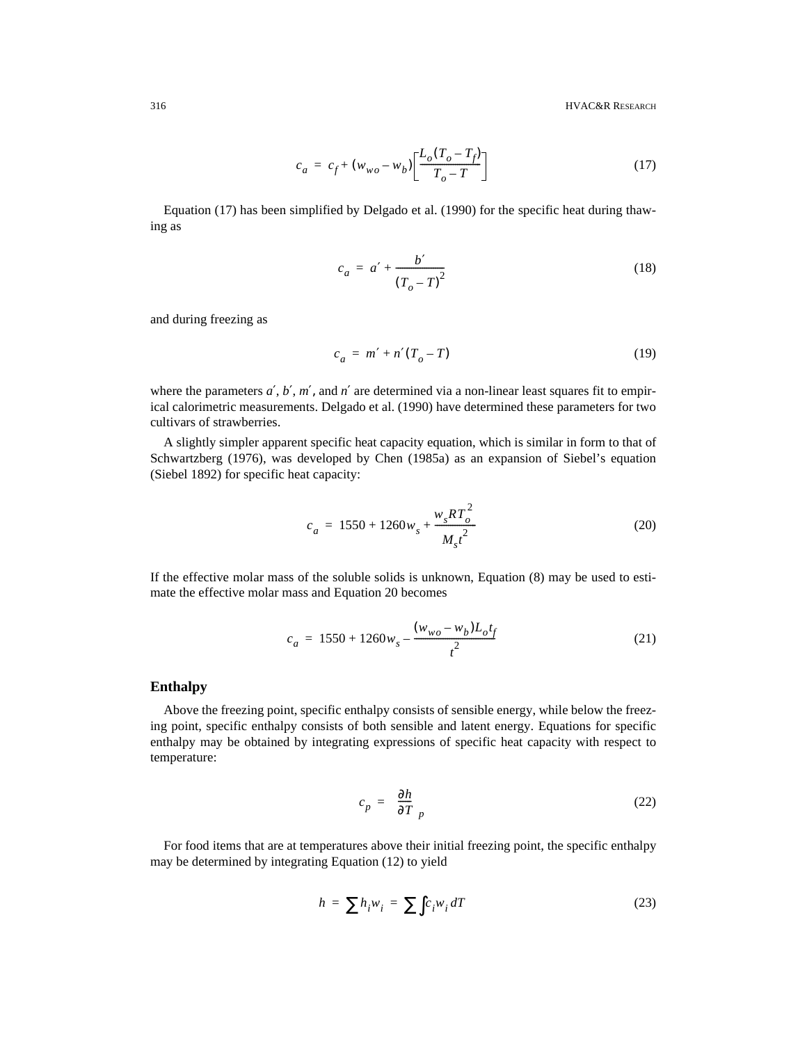$$
c_a = c_f + (w_{wo} - w_b) \left[ \frac{L_o (T_o - T_f)}{T_o - T} \right]
$$
 (17)

Equation (17) has been simplified by Delgado et al. (1990) for the specific heat during thawing as

$$
c_a = a' + \frac{b'}{(T_o - T)^2}
$$
 (18)

and during freezing as

$$
c_a = m' + n'(T_o - T)
$$
 (19)

where the parameters  $a', b', m'$ , and  $n'$  are determined via a non-linear least squares fit to empirical calorimetric measurements. Delgado et al. (1990) have determined these parameters for two cultivars of strawberries.

A slightly simpler apparent specific heat capacity equation, which is similar in form to that of Schwartzberg (1976), was developed by Chen (1985a) as an expansion of Siebel's equation (Siebel 1892) for specific heat capacity:

$$
c_a = 1550 + 1260w_s + \frac{w_s R T_o^2}{M_s t^2}
$$
 (20)

If the effective molar mass of the soluble solids is unknown, Equation (8) may be used to estimate the effective molar mass and Equation 20 becomes

$$
c_a = 1550 + 1260w_s - \frac{(w_{wo} - w_b)L_o t_f}{t^2}
$$
 (21)

#### **Enthalpy**

Above the freezing point, specific enthalpy consists of sensible energy, while below the freezing point, specific enthalpy consists of both sensible and latent energy. Equations for specific enthalpy may be obtained by integrating expressions of specific heat capacity with respect to temperature:

$$
c_p = \left(\frac{\partial h}{\partial T}\right)_p \tag{22}
$$

For food items that are at temperatures above their initial freezing point, the specific enthalpy may be determined by integrating Equation (12) to yield

$$
h = \sum h_i w_i = \sum \int c_i w_i dT \tag{23}
$$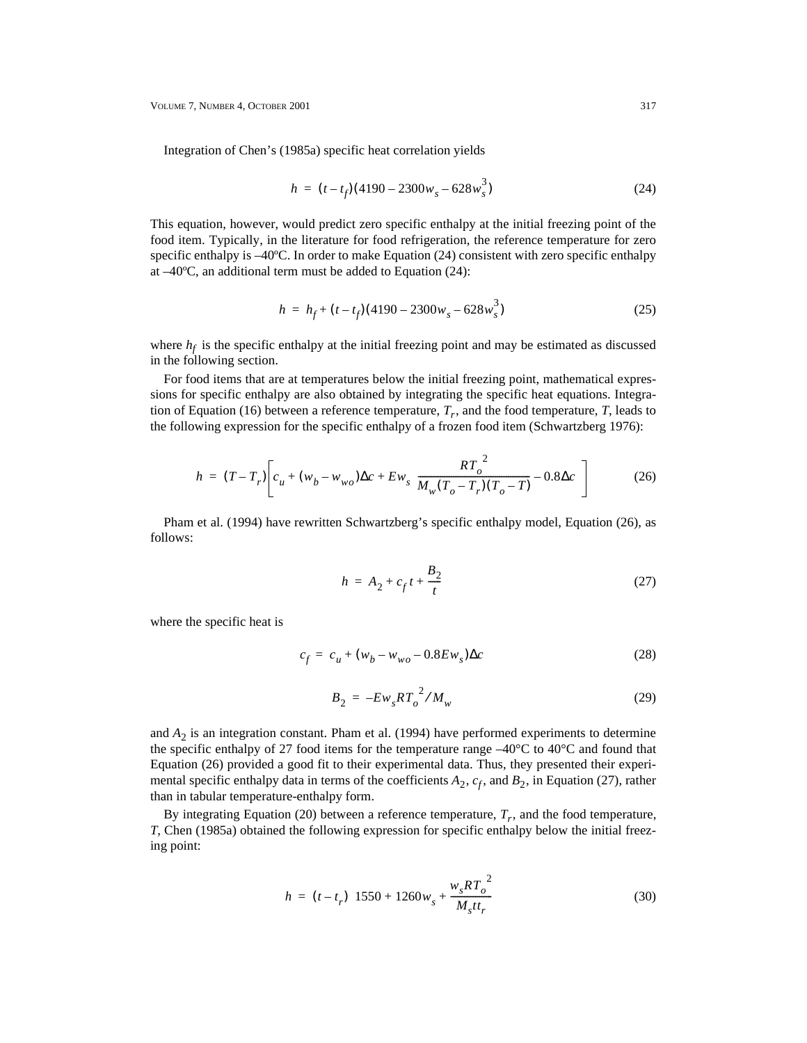Integration of Chen's (1985a) specific heat correlation yields

$$
h = (t - t_f)(4190 - 2300w_s - 628w_s^3)
$$
\n(24)

This equation, however, would predict zero specific enthalpy at the initial freezing point of the food item. Typically, in the literature for food refrigeration, the reference temperature for zero specific enthalpy is –40ºC. In order to make Equation (24) consistent with zero specific enthalpy at  $-40^{\circ}$ C, an additional term must be added to Equation (24):

$$
h = h_f + (t - t_f)(4190 - 2300w_s - 628w_s^3)
$$
\n(25)

where  $h_f$  is the specific enthalpy at the initial freezing point and may be estimated as discussed in the following section.

For food items that are at temperatures below the initial freezing point, mathematical expressions for specific enthalpy are also obtained by integrating the specific heat equations. Integration of Equation (16) between a reference temperature,  $T_r$ , and the food temperature,  $T$ , leads to the following expression for the specific enthalpy of a frozen food item (Schwartzberg 1976):

$$
h = (T - T_r) \left[ c_u + (w_b - w_{wo}) \Delta c + E w_s \left( \frac{RT_o^2}{M_w (T_o - T_r) (T_o - T)} - 0.8 \Delta c \right) \right]
$$
 (26)

Pham et al. (1994) have rewritten Schwartzberg's specific enthalpy model, Equation (26), as follows:

$$
h = A_2 + c_f t + \frac{B_2}{t}
$$
 (27)

where the specific heat is

$$
c_f = c_u + (w_b - w_{wo} - 0.8Ew_s)\Delta c \tag{28}
$$

$$
B_2 = -E w_s R T_o^2 / M_w \tag{29}
$$

and  $A_2$  is an integration constant. Pham et al. (1994) have performed experiments to determine the specific enthalpy of 27 food items for the temperature range  $-40^{\circ}$ C to  $40^{\circ}$ C and found that Equation (26) provided a good fit to their experimental data. Thus, they presented their experimental specific enthalpy data in terms of the coefficients  $A_2$ ,  $c_f$ , and  $B_2$ , in Equation (27), rather than in tabular temperature-enthalpy form.

By integrating Equation (20) between a reference temperature, *Tr*, and the food temperature, *T*, Chen (1985a) obtained the following expression for specific enthalpy below the initial freezing point:

$$
h = (t - t_r) \left( 1550 + 1260 w_s + \frac{w_s R T_o^2}{M_s t t_r} \right)
$$
 (30)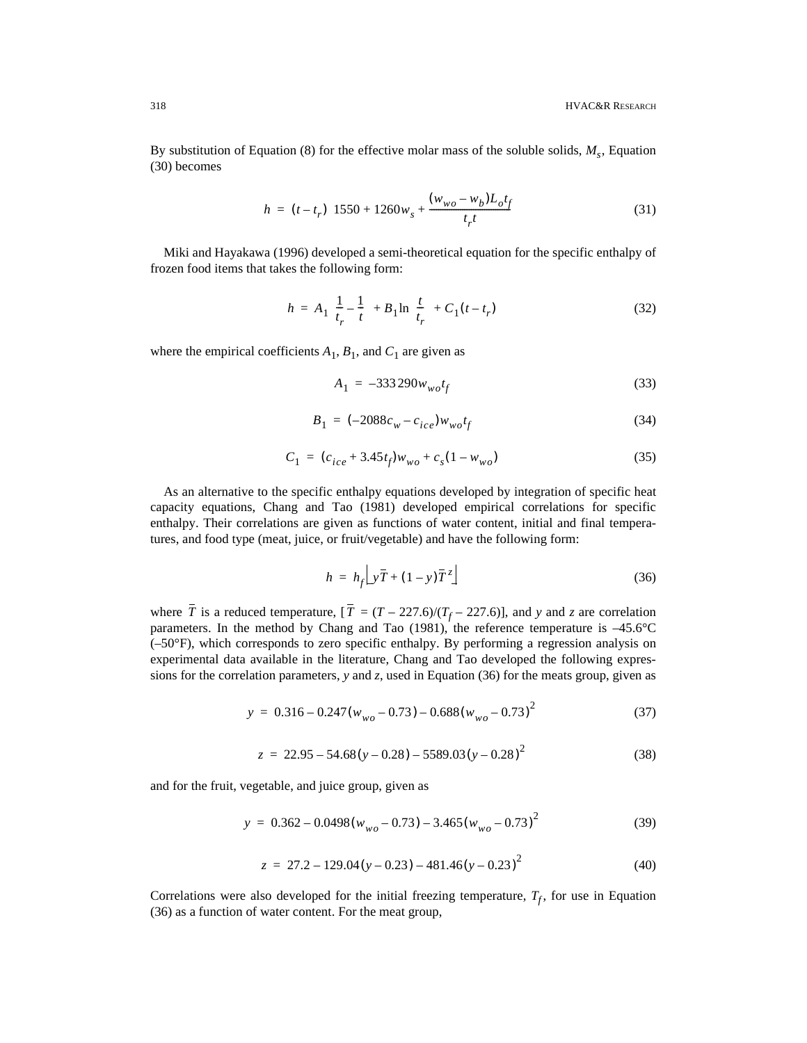By substitution of Equation (8) for the effective molar mass of the soluble solids,  $M_s$ , Equation (30) becomes

$$
h = (t - t_r) \left( 1550 + 1260w_s + \frac{(w_{wo} - w_b)L_o t_f}{t_r t} \right)
$$
 (31)

Miki and Hayakawa (1996) developed a semi-theoretical equation for the specific enthalpy of frozen food items that takes the following form:

$$
h = A_1 \left(\frac{1}{t_r} - \frac{1}{t}\right) + B_1 \ln\left(\frac{t}{t_r}\right) + C_1 (t - t_r)
$$
\n(32)

where the empirical coefficients  $A_1$ ,  $B_1$ , and  $C_1$  are given as

$$
A_1 = -333290 w_{wo} t_f \tag{33}
$$

$$
B_1 = (-2088c_w - c_{ice})w_{wo}t_f
$$
 (34)

$$
C_1 = (c_{ice} + 3.45t_f)w_{wo} + c_s(1 - w_{wo})
$$
\n(35)

As an alternative to the specific enthalpy equations developed by integration of specific heat capacity equations, Chang and Tao (1981) developed empirical correlations for specific enthalpy. Their correlations are given as functions of water content, initial and final temperatures, and food type (meat, juice, or fruit/vegetable) and have the following form:

$$
h = h_f \left\lfloor y\overline{T} + (1-y)\overline{T}^z \right\rfloor \tag{36}
$$

where *T* is a reduced temperature,  $[T = (T - 227.6)/(T_f - 227.6)]$ , and *y* and *z* are correlation parameters. In the method by Chang and Tao (1981), the reference temperature is –45.6°C (–50°F), which corresponds to zero specific enthalpy. By performing a regression analysis on experimental data available in the literature, Chang and Tao developed the following expressions for the correlation parameters, *y* and *z*, used in Equation (36) for the meats group, given as

$$
y = 0.316 - 0.247(w_{wo} - 0.73) - 0.688(w_{wo} - 0.73)^{2}
$$
\n(37)

$$
z = 22.95 - 54.68(y - 0.28) - 5589.03(y - 0.28)^{2}
$$
\n(38)

and for the fruit, vegetable, and juice group, given as

$$
y = 0.362 - 0.0498(w_{wo} - 0.73) - 3.465(w_{wo} - 0.73)^{2}
$$
\n(39)

$$
z = 27.2 - 129.04(y - 0.23) - 481.46(y - 0.23)^{2}
$$
\n(40)

Correlations were also developed for the initial freezing temperature,  $T_f$ , for use in Equation (36) as a function of water content. For the meat group,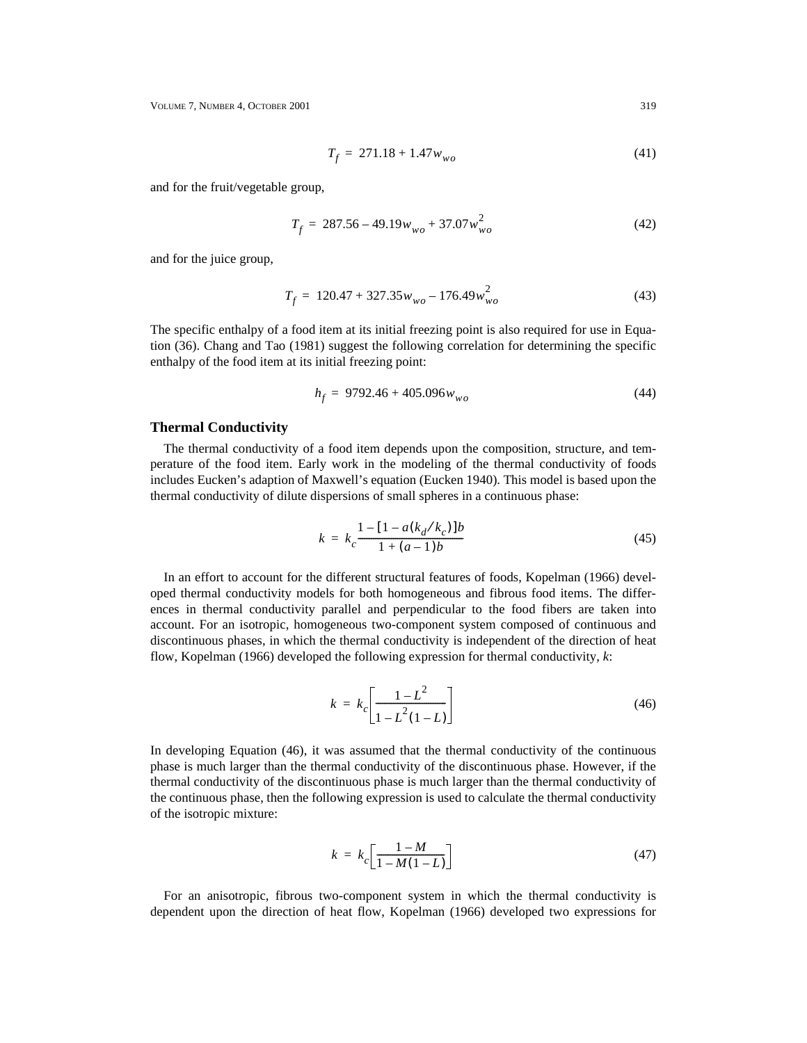$$
T_f = 271.18 + 1.47 w_{wo} \tag{41}
$$

and for the fruit/vegetable group,

$$
T_f = 287.56 - 49.19w_{wo} + 37.07w_{wo}^2
$$
\n(42)

and for the juice group,

$$
T_f = 120.47 + 327.35 w_{wo} - 176.49 w_{wo}^2 \tag{43}
$$

The specific enthalpy of a food item at its initial freezing point is also required for use in Equation (36). Chang and Tao (1981) suggest the following correlation for determining the specific enthalpy of the food item at its initial freezing point:

$$
h_f = 9792.46 + 405.096 w_{wo} \tag{44}
$$

#### **Thermal Conductivity**

The thermal conductivity of a food item depends upon the composition, structure, and temperature of the food item. Early work in the modeling of the thermal conductivity of foods includes Eucken's adaption of Maxwell's equation (Eucken 1940). This model is based upon the thermal conductivity of dilute dispersions of small spheres in a continuous phase:

$$
k = k_c \frac{1 - [1 - a(k_d / k_c)]b}{1 + (a - 1)b}
$$
 (45)

In an effort to account for the different structural features of foods, Kopelman (1966) developed thermal conductivity models for both homogeneous and fibrous food items. The differences in thermal conductivity parallel and perpendicular to the food fibers are taken into account. For an isotropic, homogeneous two-component system composed of continuous and discontinuous phases, in which the thermal conductivity is independent of the direction of heat flow, Kopelman (1966) developed the following expression for thermal conductivity, *k*:

$$
k = k_c \left[ \frac{1 - L^2}{1 - L^2 (1 - L)} \right] \tag{46}
$$

In developing Equation (46), it was assumed that the thermal conductivity of the continuous phase is much larger than the thermal conductivity of the discontinuous phase. However, if the thermal conductivity of the discontinuous phase is much larger than the thermal conductivity of the continuous phase, then the following expression is used to calculate the thermal conductivity of the isotropic mixture:

$$
k = k_c \left[ \frac{1 - M}{1 - M(1 - L)} \right] \tag{47}
$$

For an anisotropic, fibrous two-component system in which the thermal conductivity is dependent upon the direction of heat flow, Kopelman (1966) developed two expressions for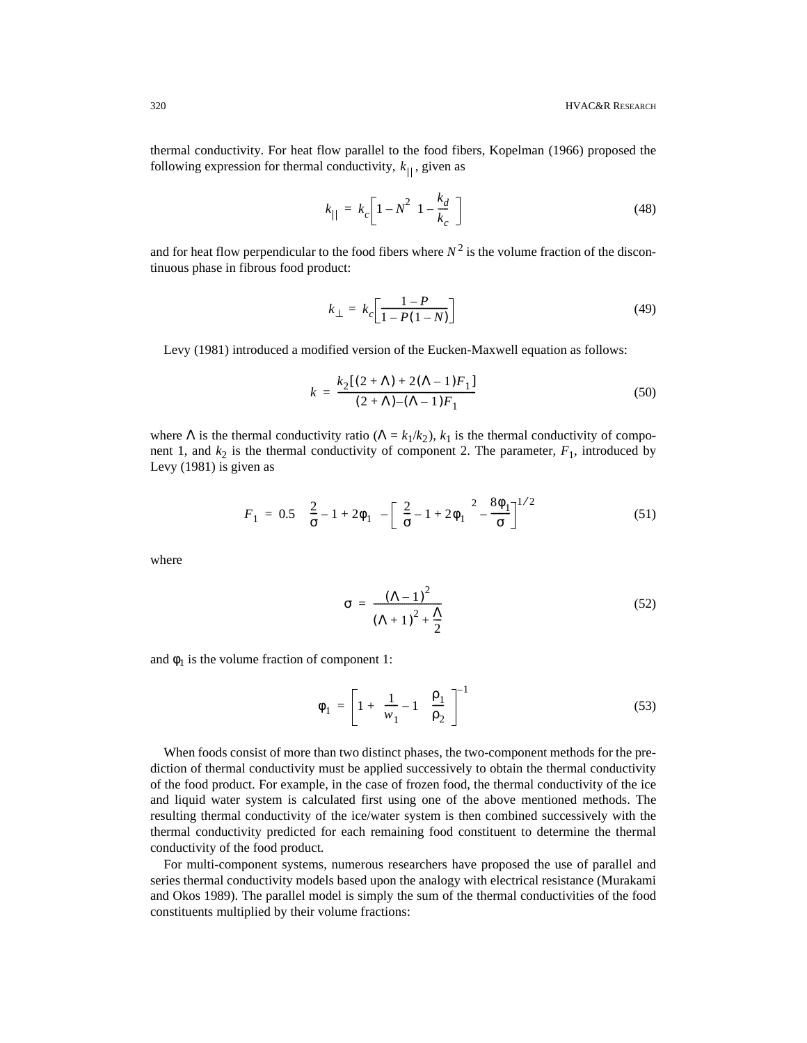thermal conductivity. For heat flow parallel to the food fibers, Kopelman (1966) proposed the following expression for thermal conductivity,  $k_{\parallel}$ , given as

$$
k_{\parallel} = k_c \left[ 1 - N^2 \left( 1 - \frac{k_d}{k_c} \right) \right] \tag{48}
$$

and for heat flow perpendicular to the food fibers where  $N^2$  is the volume fraction of the discontinuous phase in fibrous food product:

$$
k_{\perp} = k_c \left[ \frac{1 - P}{1 - P(1 - N)} \right] \tag{49}
$$

Levy (1981) introduced a modified version of the Eucken-Maxwell equation as follows:

$$
k = \frac{k_2[(2+\Lambda) + 2(\Lambda - 1)F_1]}{(2+\Lambda) - (\Lambda - 1)F_1}
$$
\n(50)

where  $\Lambda$  is the thermal conductivity ratio ( $\Lambda = k_1/k_2$ ),  $k_1$  is the thermal conductivity of component 1, and  $k_2$  is the thermal conductivity of component 2. The parameter,  $F_1$ , introduced by Levy (1981) is given as

$$
F_1 = 0.5 \left\{ \left( \frac{2}{\sigma} - 1 + 2\phi_1 \right) - \left[ \left( \frac{2}{\sigma} - 1 + 2\phi_1 \right)^2 - \frac{8\phi_1}{\sigma} \right]^{1/2} \right\}
$$
(51)

where

$$
\sigma = \frac{(\Lambda - 1)^2}{(\Lambda + 1)^2 + \frac{\Lambda}{2}}
$$
(52)

and  $\phi_1$  is the volume fraction of component 1:

$$
\phi_1 = \left[1 + \left(\frac{1}{w_1} - 1\right)\left(\frac{\rho_1}{\rho_2}\right)\right]^{-1} \tag{53}
$$

When foods consist of more than two distinct phases, the two-component methods for the prediction of thermal conductivity must be applied successively to obtain the thermal conductivity of the food product. For example, in the case of frozen food, the thermal conductivity of the ice and liquid water system is calculated first using one of the above mentioned methods. The resulting thermal conductivity of the ice/water system is then combined successively with the thermal conductivity predicted for each remaining food constituent to determine the thermal conductivity of the food product.

For multi-component systems, numerous researchers have proposed the use of parallel and series thermal conductivity models based upon the analogy with electrical resistance (Murakami and Okos 1989). The parallel model is simply the sum of the thermal conductivities of the food constituents multiplied by their volume fractions: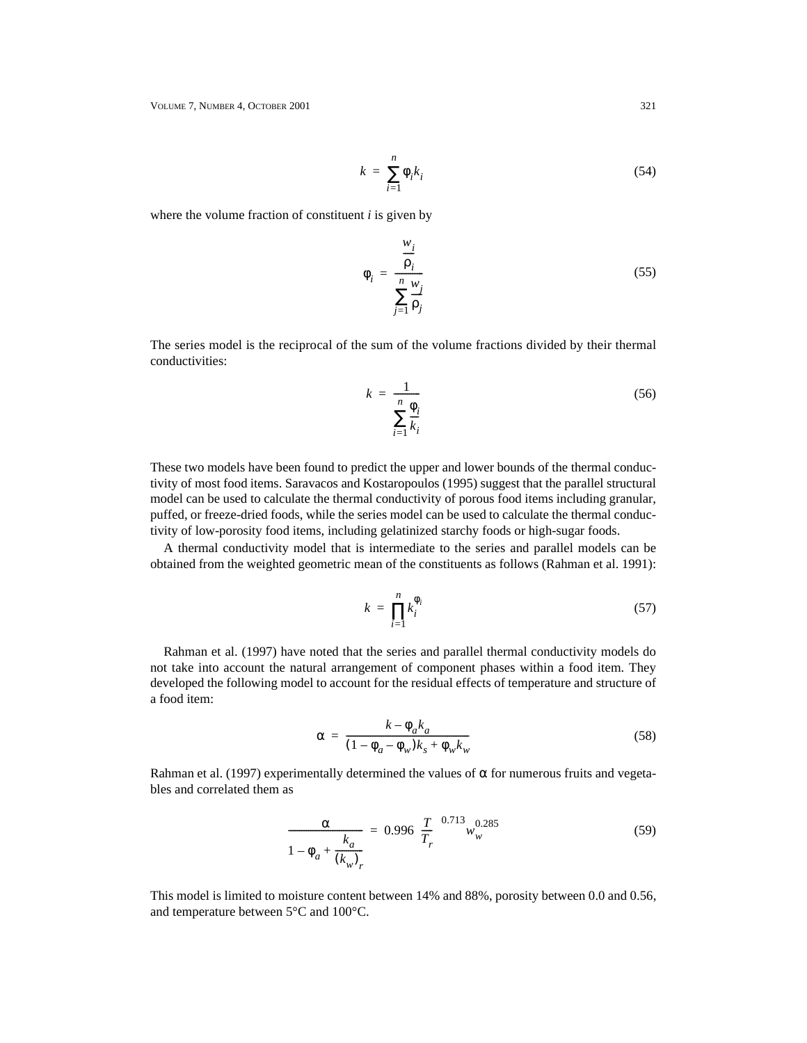$$
k = \sum_{i=1}^{n} \phi_i k_i \tag{54}
$$

where the volume fraction of constituent *i* is given by

$$
\phi_i = \frac{\frac{w_i}{\rho_i}}{\sum_{j=1}^n \frac{w_j}{\rho_j}}
$$
\n(55)

The series model is the reciprocal of the sum of the volume fractions divided by their thermal conductivities:

$$
k = \frac{1}{\sum_{i=1}^{n} \frac{\phi_i}{k_i}}
$$
(56)

These two models have been found to predict the upper and lower bounds of the thermal conductivity of most food items. Saravacos and Kostaropoulos (1995) suggest that the parallel structural model can be used to calculate the thermal conductivity of porous food items including granular, puffed, or freeze-dried foods, while the series model can be used to calculate the thermal conductivity of low-porosity food items, including gelatinized starchy foods or high-sugar foods.

A thermal conductivity model that is intermediate to the series and parallel models can be obtained from the weighted geometric mean of the constituents as follows (Rahman et al. 1991):

$$
k = \prod_{i=1}^{n} k_i^{\phi_i} \tag{57}
$$

Rahman et al. (1997) have noted that the series and parallel thermal conductivity models do not take into account the natural arrangement of component phases within a food item. They developed the following model to account for the residual effects of temperature and structure of a food item:

$$
\alpha = \frac{k - \phi_a k_a}{(1 - \phi_a - \phi_w)k_s + \phi_w k_w} \tag{58}
$$

Rahman et al. (1997) experimentally determined the values of  $\alpha$  for numerous fruits and vegetables and correlated them as

$$
\frac{\alpha}{1 - \phi_a + \frac{k_a}{(k_w)_r}} = 0.996 \left(\frac{T}{T_r}\right)^{0.713} w_w^{0.285}
$$
\n(59)

This model is limited to moisture content between 14% and 88%, porosity between 0.0 and 0.56, and temperature between 5°C and 100°C.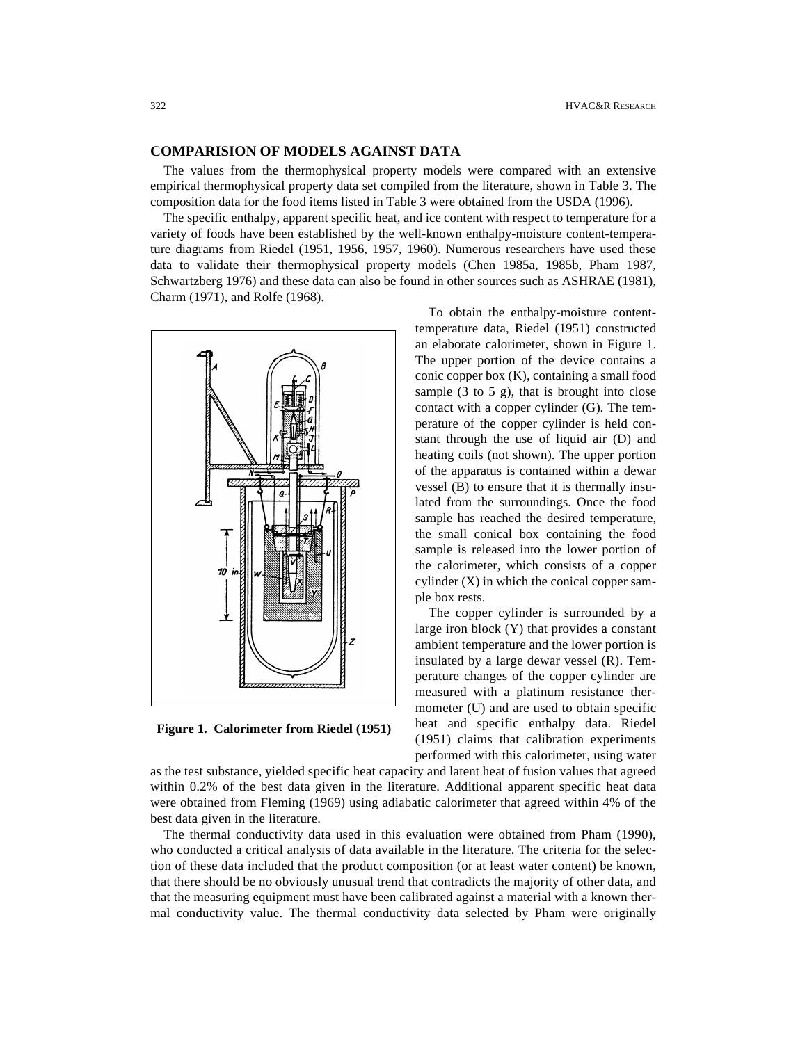322 HVAC&R RESEARCH

## **COMPARISION OF MODELS AGAINST DATA**

The values from the thermophysical property models were compared with an extensive empirical thermophysical property data set compiled from the literature, shown in Table 3. The composition data for the food items listed in Table 3 were obtained from the USDA (1996).

The specific enthalpy, apparent specific heat, and ice content with respect to temperature for a variety of foods have been established by the well-known enthalpy-moisture content-temperature diagrams from Riedel (1951, 1956, 1957, 1960). Numerous researchers have used these data to validate their thermophysical property models (Chen 1985a, 1985b, Pham 1987, Schwartzberg 1976) and these data can also be found in other sources such as ASHRAE (1981), Charm (1971), and Rolfe (1968).



**Figure 1. Calorimeter from Riedel (1951)**

To obtain the enthalpy-moisture contenttemperature data, Riedel (1951) constructed an elaborate calorimeter, shown in Figure 1. The upper portion of the device contains a conic copper box (K), containing a small food sample  $(3 \text{ to } 5 \text{ g})$ , that is brought into close contact with a copper cylinder (G). The temperature of the copper cylinder is held constant through the use of liquid air (D) and heating coils (not shown). The upper portion of the apparatus is contained within a dewar vessel (B) to ensure that it is thermally insulated from the surroundings. Once the food sample has reached the desired temperature, the small conical box containing the food sample is released into the lower portion of the calorimeter, which consists of a copper cylinder (X) in which the conical copper sample box rests.

The copper cylinder is surrounded by a large iron block (Y) that provides a constant ambient temperature and the lower portion is insulated by a large dewar vessel (R). Temperature changes of the copper cylinder are measured with a platinum resistance thermometer (U) and are used to obtain specific heat and specific enthalpy data. Riedel (1951) claims that calibration experiments performed with this calorimeter, using water

as the test substance, yielded specific heat capacity and latent heat of fusion values that agreed within 0.2% of the best data given in the literature. Additional apparent specific heat data were obtained from Fleming (1969) using adiabatic calorimeter that agreed within 4% of the best data given in the literature.

The thermal conductivity data used in this evaluation were obtained from Pham (1990), who conducted a critical analysis of data available in the literature. The criteria for the selection of these data included that the product composition (or at least water content) be known, that there should be no obviously unusual trend that contradicts the majority of other data, and that the measuring equipment must have been calibrated against a material with a known thermal conductivity value. The thermal conductivity data selected by Pham were originally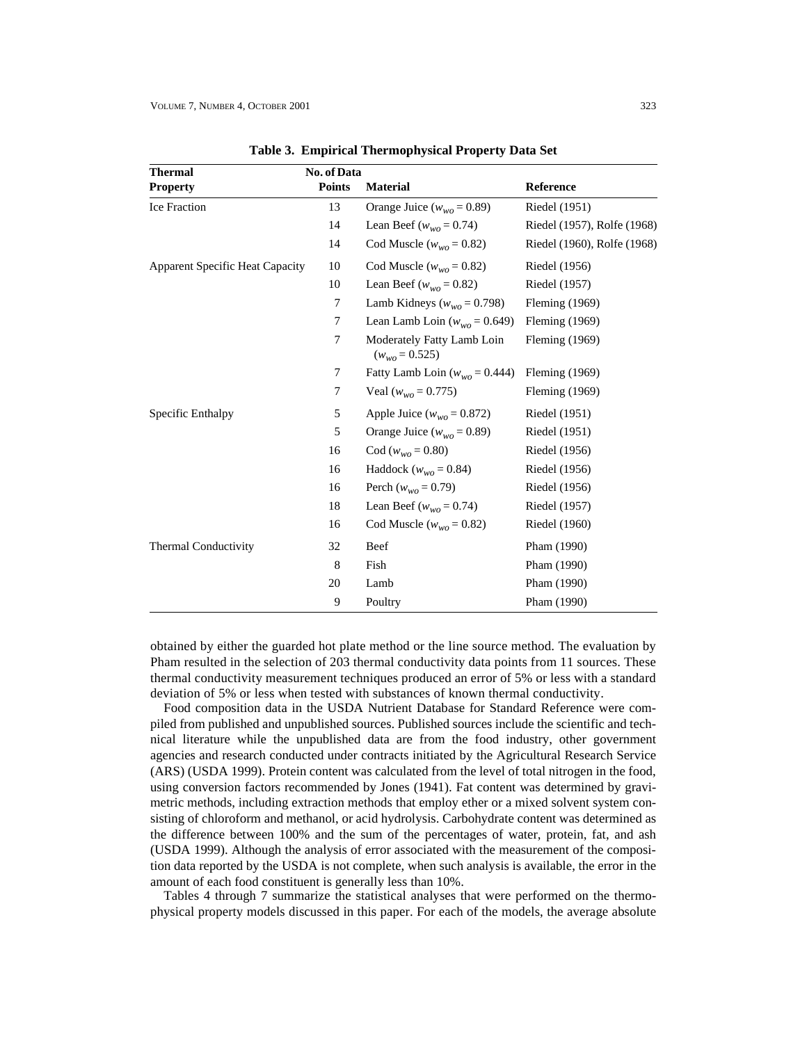| <b>Thermal</b>                         | No. of Data   |                                                  |                             |
|----------------------------------------|---------------|--------------------------------------------------|-----------------------------|
| <b>Property</b>                        | <b>Points</b> | <b>Material</b>                                  | Reference                   |
| Ice Fraction                           | 13            | Orange Juice ( $w_{wo} = 0.89$ )                 | Riedel (1951)               |
|                                        | 14            | Lean Beef ( $w_{wo} = 0.74$ )                    | Riedel (1957), Rolfe (1968) |
|                                        | 14            | Cod Muscle ( $w_{wo} = 0.82$ )                   | Riedel (1960), Rolfe (1968) |
| <b>Apparent Specific Heat Capacity</b> | 10            | Cod Muscle ( $w_{wo} = 0.82$ )                   | Riedel (1956)               |
|                                        | 10            | Lean Beef ( $w_{wo} = 0.82$ )                    | Riedel (1957)               |
|                                        | 7             | Lamb Kidneys ( $w_{wo} = 0.798$ )                | Fleming (1969)              |
|                                        | 7             | Lean Lamb Loin $(w_{wo} = 0.649)$                | <b>Fleming</b> (1969)       |
|                                        | 7             | Moderately Fatty Lamb Loin<br>$(w_{wo} = 0.525)$ | Fleming (1969)              |
|                                        | 7             | Fatty Lamb Loin $(w_{wo} = 0.444)$               | Fleming $(1969)$            |
|                                        | 7             | Veal ( $w_{wo} = 0.775$ )                        | Fleming (1969)              |
| Specific Enthalpy                      | 5             | Apple Juice ( $w_{wo} = 0.872$ )                 | Riedel (1951)               |
|                                        | 5             | Orange Juice ( $w_{wo} = 0.89$ )                 | Riedel (1951)               |
|                                        | 16            | Cod ( $w_{wo} = 0.80$ )                          | Riedel (1956)               |
|                                        | 16            | Haddock ( $w_{wo} = 0.84$ )                      | Riedel (1956)               |
|                                        | 16            | Perch ( $w_{wo} = 0.79$ )                        | Riedel (1956)               |
|                                        | 18            | Lean Beef ( $w_{wo} = 0.74$ )                    | Riedel (1957)               |
|                                        | 16            | Cod Muscle ( $w_{wo} = 0.82$ )                   | Riedel (1960)               |
| Thermal Conductivity                   | 32            | Beef                                             | Pham (1990)                 |
|                                        | 8             | Fish                                             | Pham (1990)                 |
|                                        | 20            | Lamb                                             | Pham (1990)                 |
|                                        | 9             | Poultry                                          | Pham (1990)                 |

**Table 3. Empirical Thermophysical Property Data Set**

obtained by either the guarded hot plate method or the line source method. The evaluation by Pham resulted in the selection of 203 thermal conductivity data points from 11 sources. These thermal conductivity measurement techniques produced an error of 5% or less with a standard deviation of 5% or less when tested with substances of known thermal conductivity.

Food composition data in the USDA Nutrient Database for Standard Reference were compiled from published and unpublished sources. Published sources include the scientific and technical literature while the unpublished data are from the food industry, other government agencies and research conducted under contracts initiated by the Agricultural Research Service (ARS) (USDA 1999). Protein content was calculated from the level of total nitrogen in the food, using conversion factors recommended by Jones (1941). Fat content was determined by gravimetric methods, including extraction methods that employ ether or a mixed solvent system consisting of chloroform and methanol, or acid hydrolysis. Carbohydrate content was determined as the difference between 100% and the sum of the percentages of water, protein, fat, and ash (USDA 1999). Although the analysis of error associated with the measurement of the composition data reported by the USDA is not complete, when such analysis is available, the error in the amount of each food constituent is generally less than 10%.

Tables 4 through 7 summarize the statistical analyses that were performed on the thermophysical property models discussed in this paper. For each of the models, the average absolute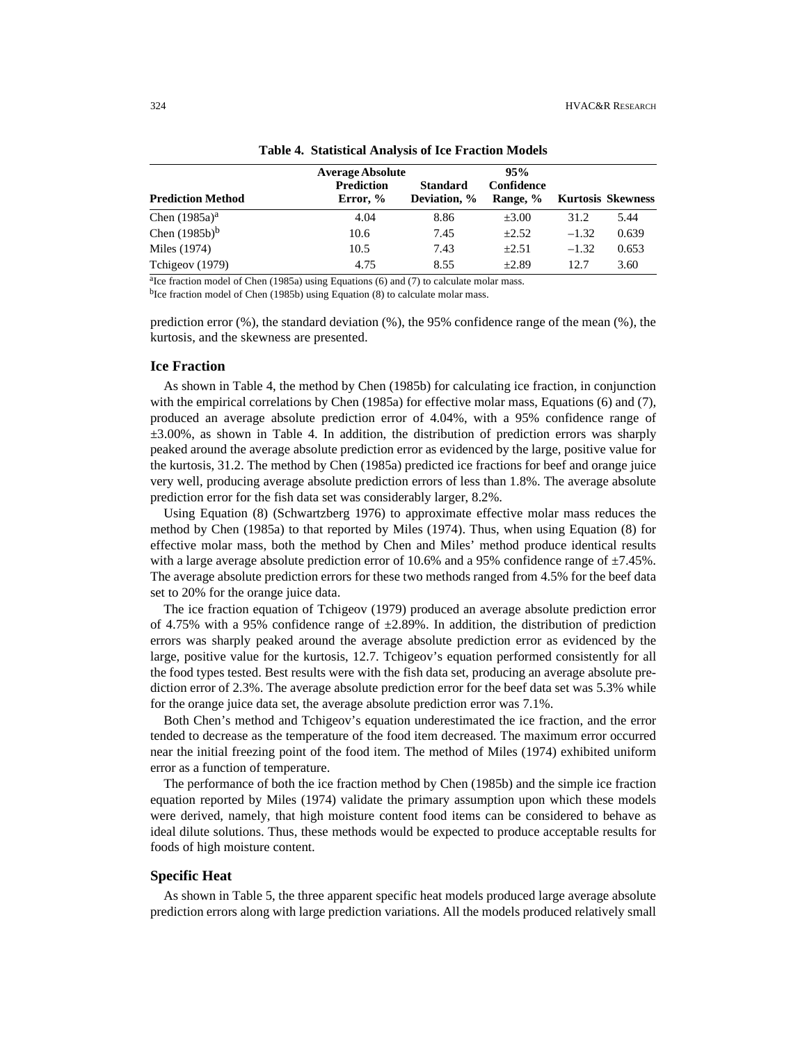|                          |                                 | <b>Average Absolute</b>         |                        |         |                          |
|--------------------------|---------------------------------|---------------------------------|------------------------|---------|--------------------------|
| <b>Prediction Method</b> | <b>Prediction</b><br>Error, $%$ | <b>Standard</b><br>Deviation, % | Confidence<br>Range, % |         | <b>Kurtosis Skewness</b> |
| Chen $(1985a)^a$         | 4.04                            | 8.86                            | $\pm 3.00$             | 31.2    | 5.44                     |
| Chen $(1985b)^b$         | 10.6                            | 7.45                            | $\pm 2.52$             | $-1.32$ | 0.639                    |
| Miles (1974)             | 10.5                            | 7.43                            | $+2.51$                | $-1.32$ | 0.653                    |
| Tchigeov $(1979)$        | 4.75                            | 8.55                            | $\pm 2.89$             | 12.7    | 3.60                     |

**Table 4. Statistical Analysis of Ice Fraction Models**

<sup>a</sup>Ice fraction model of Chen (1985a) using Equations (6) and (7) to calculate molar mass.

bIce fraction model of Chen (1985b) using Equation (8) to calculate molar mass.

prediction error  $(\%)$ , the standard deviation  $(\%)$ , the 95% confidence range of the mean  $(\%)$ , the kurtosis, and the skewness are presented.

## **Ice Fraction**

As shown in Table 4, the method by Chen (1985b) for calculating ice fraction, in conjunction with the empirical correlations by Chen (1985a) for effective molar mass, Equations (6) and (7), produced an average absolute prediction error of 4.04%, with a 95% confidence range of  $\pm 3.00\%$ , as shown in Table 4. In addition, the distribution of prediction errors was sharply peaked around the average absolute prediction error as evidenced by the large, positive value for the kurtosis, 31.2. The method by Chen (1985a) predicted ice fractions for beef and orange juice very well, producing average absolute prediction errors of less than 1.8%. The average absolute prediction error for the fish data set was considerably larger, 8.2%.

Using Equation (8) (Schwartzberg 1976) to approximate effective molar mass reduces the method by Chen (1985a) to that reported by Miles (1974). Thus, when using Equation (8) for effective molar mass, both the method by Chen and Miles' method produce identical results with a large average absolute prediction error of 10.6% and a 95% confidence range of  $\pm$ 7.45%. The average absolute prediction errors for these two methods ranged from 4.5% for the beef data set to 20% for the orange juice data.

The ice fraction equation of Tchigeov (1979) produced an average absolute prediction error of 4.75% with a 95% confidence range of  $\pm 2.89$ %. In addition, the distribution of prediction errors was sharply peaked around the average absolute prediction error as evidenced by the large, positive value for the kurtosis, 12.7. Tchigeov's equation performed consistently for all the food types tested. Best results were with the fish data set, producing an average absolute prediction error of 2.3%. The average absolute prediction error for the beef data set was 5.3% while for the orange juice data set, the average absolute prediction error was 7.1%.

Both Chen's method and Tchigeov's equation underestimated the ice fraction, and the error tended to decrease as the temperature of the food item decreased. The maximum error occurred near the initial freezing point of the food item. The method of Miles (1974) exhibited uniform error as a function of temperature.

The performance of both the ice fraction method by Chen (1985b) and the simple ice fraction equation reported by Miles (1974) validate the primary assumption upon which these models were derived, namely, that high moisture content food items can be considered to behave as ideal dilute solutions. Thus, these methods would be expected to produce acceptable results for foods of high moisture content.

#### **Specific Heat**

As shown in Table 5, the three apparent specific heat models produced large average absolute prediction errors along with large prediction variations. All the models produced relatively small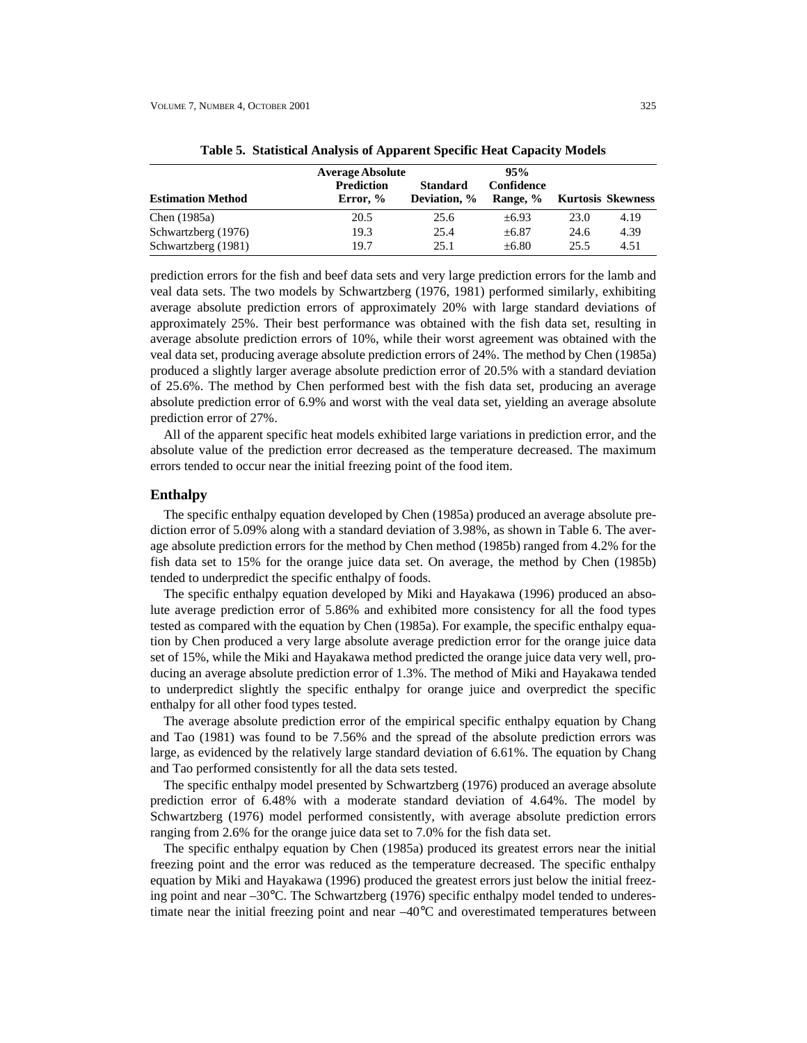|                          |                                  | <b>Average Absolute</b>         |                        |      |                          |
|--------------------------|----------------------------------|---------------------------------|------------------------|------|--------------------------|
| <b>Estimation Method</b> | <b>Prediction</b><br>Error, $\%$ | <b>Standard</b><br>Deviation, % | Confidence<br>Range, % |      | <b>Kurtosis Skewness</b> |
| Chen $(1985a)$           | 20.5                             | 25.6                            | $\pm 6.93$             | 23.0 | 4.19                     |
| Schwartzberg (1976)      | 19.3                             | 25.4                            | $\pm 6.87$             | 24.6 | 4.39                     |
| Schwartzberg (1981)      | 19.7                             | 25.1                            | $\pm 6.80$             | 25.5 | 4.51                     |

**Table 5. Statistical Analysis of Apparent Specific Heat Capacity Models**

prediction errors for the fish and beef data sets and very large prediction errors for the lamb and veal data sets. The two models by Schwartzberg (1976, 1981) performed similarly, exhibiting average absolute prediction errors of approximately 20% with large standard deviations of approximately 25%. Their best performance was obtained with the fish data set, resulting in average absolute prediction errors of 10%, while their worst agreement was obtained with the veal data set, producing average absolute prediction errors of 24%. The method by Chen (1985a) produced a slightly larger average absolute prediction error of 20.5% with a standard deviation of 25.6%. The method by Chen performed best with the fish data set, producing an average absolute prediction error of 6.9% and worst with the veal data set, yielding an average absolute prediction error of 27%.

All of the apparent specific heat models exhibited large variations in prediction error, and the absolute value of the prediction error decreased as the temperature decreased. The maximum errors tended to occur near the initial freezing point of the food item.

#### **Enthalpy**

The specific enthalpy equation developed by Chen (1985a) produced an average absolute prediction error of 5.09% along with a standard deviation of 3.98%, as shown in Table 6. The average absolute prediction errors for the method by Chen method (1985b) ranged from 4.2% for the fish data set to 15% for the orange juice data set. On average, the method by Chen (1985b) tended to underpredict the specific enthalpy of foods.

The specific enthalpy equation developed by Miki and Hayakawa (1996) produced an absolute average prediction error of 5.86% and exhibited more consistency for all the food types tested as compared with the equation by Chen (1985a). For example, the specific enthalpy equation by Chen produced a very large absolute average prediction error for the orange juice data set of 15%, while the Miki and Hayakawa method predicted the orange juice data very well, producing an average absolute prediction error of 1.3%. The method of Miki and Hayakawa tended to underpredict slightly the specific enthalpy for orange juice and overpredict the specific enthalpy for all other food types tested.

The average absolute prediction error of the empirical specific enthalpy equation by Chang and Tao (1981) was found to be 7.56% and the spread of the absolute prediction errors was large, as evidenced by the relatively large standard deviation of 6.61%. The equation by Chang and Tao performed consistently for all the data sets tested.

The specific enthalpy model presented by Schwartzberg (1976) produced an average absolute prediction error of 6.48% with a moderate standard deviation of 4.64%. The model by Schwartzberg (1976) model performed consistently, with average absolute prediction errors ranging from 2.6% for the orange juice data set to 7.0% for the fish data set.

The specific enthalpy equation by Chen (1985a) produced its greatest errors near the initial freezing point and the error was reduced as the temperature decreased. The specific enthalpy equation by Miki and Hayakawa (1996) produced the greatest errors just below the initial freezing point and near –30°C. The Schwartzberg (1976) specific enthalpy model tended to underestimate near the initial freezing point and near –40°C and overestimated temperatures between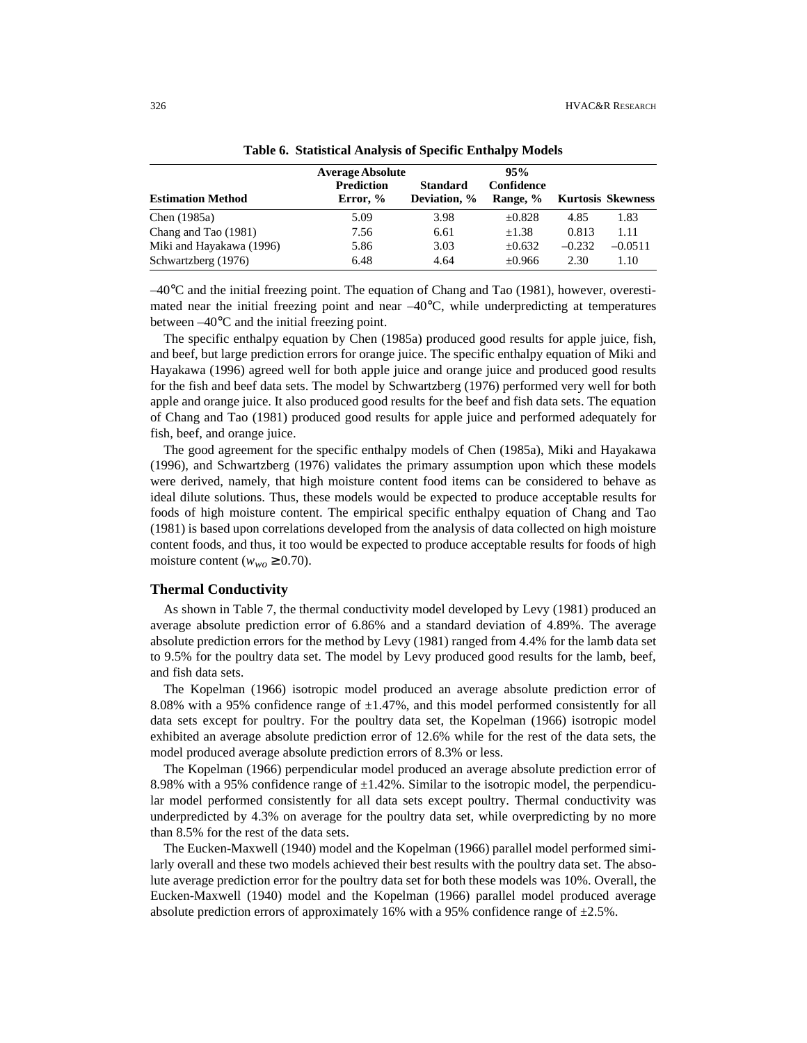|                          | <b>Average Absolute</b><br><b>Prediction</b> | <b>Standard</b> | 95%<br>Confidence |          |                          |
|--------------------------|----------------------------------------------|-----------------|-------------------|----------|--------------------------|
| <b>Estimation Method</b> | Error, $\%$                                  | Deviation, %    | Range, %          |          | <b>Kurtosis Skewness</b> |
| Chen (1985a)             | 5.09                                         | 3.98            | $+0.828$          | 4.85     | 1.83                     |
| Chang and Tao (1981)     | 7.56                                         | 6.61            | $+1.38$           | 0.813    | 1.11                     |
| Miki and Hayakawa (1996) | 5.86                                         | 3.03            | $+0.632$          | $-0.232$ | $-0.0511$                |
| Schwartzberg (1976)      | 6.48                                         | 4.64            | ±0.966            | 2.30     | 1.10                     |

|  | Table 6. Statistical Analysis of Specific Enthalpy Models |  |
|--|-----------------------------------------------------------|--|
|  |                                                           |  |

 $-40^{\circ}$ C and the initial freezing point. The equation of Chang and Tao (1981), however, overestimated near the initial freezing point and near –40°C, while underpredicting at temperatures between –40°C and the initial freezing point.

The specific enthalpy equation by Chen (1985a) produced good results for apple juice, fish, and beef, but large prediction errors for orange juice. The specific enthalpy equation of Miki and Hayakawa (1996) agreed well for both apple juice and orange juice and produced good results for the fish and beef data sets. The model by Schwartzberg (1976) performed very well for both apple and orange juice. It also produced good results for the beef and fish data sets. The equation of Chang and Tao (1981) produced good results for apple juice and performed adequately for fish, beef, and orange juice.

The good agreement for the specific enthalpy models of Chen (1985a), Miki and Hayakawa (1996), and Schwartzberg (1976) validates the primary assumption upon which these models were derived, namely, that high moisture content food items can be considered to behave as ideal dilute solutions. Thus, these models would be expected to produce acceptable results for foods of high moisture content. The empirical specific enthalpy equation of Chang and Tao (1981) is based upon correlations developed from the analysis of data collected on high moisture content foods, and thus, it too would be expected to produce acceptable results for foods of high moisture content  $(w_{wo} \ge 0.70)$ .

#### **Thermal Conductivity**

As shown in Table 7, the thermal conductivity model developed by Levy (1981) produced an average absolute prediction error of 6.86% and a standard deviation of 4.89%. The average absolute prediction errors for the method by Levy (1981) ranged from 4.4% for the lamb data set to 9.5% for the poultry data set. The model by Levy produced good results for the lamb, beef, and fish data sets.

The Kopelman (1966) isotropic model produced an average absolute prediction error of 8.08% with a 95% confidence range of  $\pm 1.47$ %, and this model performed consistently for all data sets except for poultry. For the poultry data set, the Kopelman (1966) isotropic model exhibited an average absolute prediction error of 12.6% while for the rest of the data sets, the model produced average absolute prediction errors of 8.3% or less.

The Kopelman (1966) perpendicular model produced an average absolute prediction error of 8.98% with a 95% confidence range of  $\pm 1.42$ %. Similar to the isotropic model, the perpendicular model performed consistently for all data sets except poultry. Thermal conductivity was underpredicted by 4.3% on average for the poultry data set, while overpredicting by no more than 8.5% for the rest of the data sets.

The Eucken-Maxwell (1940) model and the Kopelman (1966) parallel model performed similarly overall and these two models achieved their best results with the poultry data set. The absolute average prediction error for the poultry data set for both these models was 10%. Overall, the Eucken-Maxwell (1940) model and the Kopelman (1966) parallel model produced average absolute prediction errors of approximately 16% with a 95% confidence range of  $\pm 2.5$ %.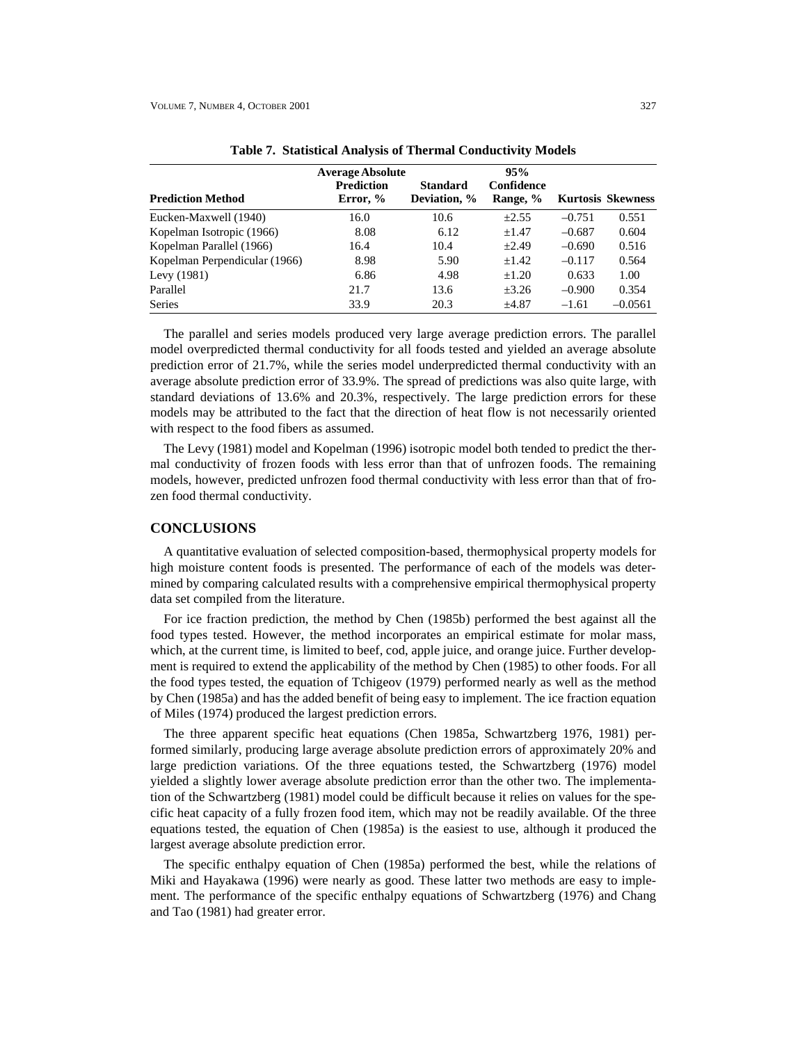| <b>Prediction Method</b>      | <b>Average Absolute</b><br><b>Prediction</b><br>Error, $\%$ | <b>Standard</b><br>Deviation, % | 95%<br>Confidence<br>Range, % |          | <b>Kurtosis Skewness</b> |
|-------------------------------|-------------------------------------------------------------|---------------------------------|-------------------------------|----------|--------------------------|
| Eucken-Maxwell (1940)         | 16.0                                                        | 10.6                            | $\pm 2.55$                    | $-0.751$ | 0.551                    |
| Kopelman Isotropic (1966)     | 8.08                                                        | 6.12                            | $\pm 1.47$                    | $-0.687$ | 0.604                    |
| Kopelman Parallel (1966)      | 16.4                                                        | 10.4                            | $\pm 2.49$                    | $-0.690$ | 0.516                    |
| Kopelman Perpendicular (1966) | 8.98                                                        | 5.90                            | $+1.42$                       | $-0.117$ | 0.564                    |
| Levy (1981)                   | 6.86                                                        | 4.98                            | $\pm 1.20$                    | 0.633    | 1.00                     |
| Parallel                      | 21.7                                                        | 13.6                            | ±3.26                         | $-0.900$ | 0.354                    |
| <b>Series</b>                 | 33.9                                                        | 20.3                            | $+4.87$                       | $-1.61$  | $-0.0561$                |

**Table 7. Statistical Analysis of Thermal Conductivity Models**

The parallel and series models produced very large average prediction errors. The parallel model overpredicted thermal conductivity for all foods tested and yielded an average absolute prediction error of 21.7%, while the series model underpredicted thermal conductivity with an average absolute prediction error of 33.9%. The spread of predictions was also quite large, with standard deviations of 13.6% and 20.3%, respectively. The large prediction errors for these models may be attributed to the fact that the direction of heat flow is not necessarily oriented with respect to the food fibers as assumed.

The Levy (1981) model and Kopelman (1996) isotropic model both tended to predict the thermal conductivity of frozen foods with less error than that of unfrozen foods. The remaining models, however, predicted unfrozen food thermal conductivity with less error than that of frozen food thermal conductivity.

### **CONCLUSIONS**

A quantitative evaluation of selected composition-based, thermophysical property models for high moisture content foods is presented. The performance of each of the models was determined by comparing calculated results with a comprehensive empirical thermophysical property data set compiled from the literature.

For ice fraction prediction, the method by Chen (1985b) performed the best against all the food types tested. However, the method incorporates an empirical estimate for molar mass, which, at the current time, is limited to beef, cod, apple juice, and orange juice. Further development is required to extend the applicability of the method by Chen (1985) to other foods. For all the food types tested, the equation of Tchigeov (1979) performed nearly as well as the method by Chen (1985a) and has the added benefit of being easy to implement. The ice fraction equation of Miles (1974) produced the largest prediction errors.

The three apparent specific heat equations (Chen 1985a, Schwartzberg 1976, 1981) performed similarly, producing large average absolute prediction errors of approximately 20% and large prediction variations. Of the three equations tested, the Schwartzberg (1976) model yielded a slightly lower average absolute prediction error than the other two. The implementation of the Schwartzberg (1981) model could be difficult because it relies on values for the specific heat capacity of a fully frozen food item, which may not be readily available. Of the three equations tested, the equation of Chen (1985a) is the easiest to use, although it produced the largest average absolute prediction error.

The specific enthalpy equation of Chen (1985a) performed the best, while the relations of Miki and Hayakawa (1996) were nearly as good. These latter two methods are easy to implement. The performance of the specific enthalpy equations of Schwartzberg (1976) and Chang and Tao (1981) had greater error.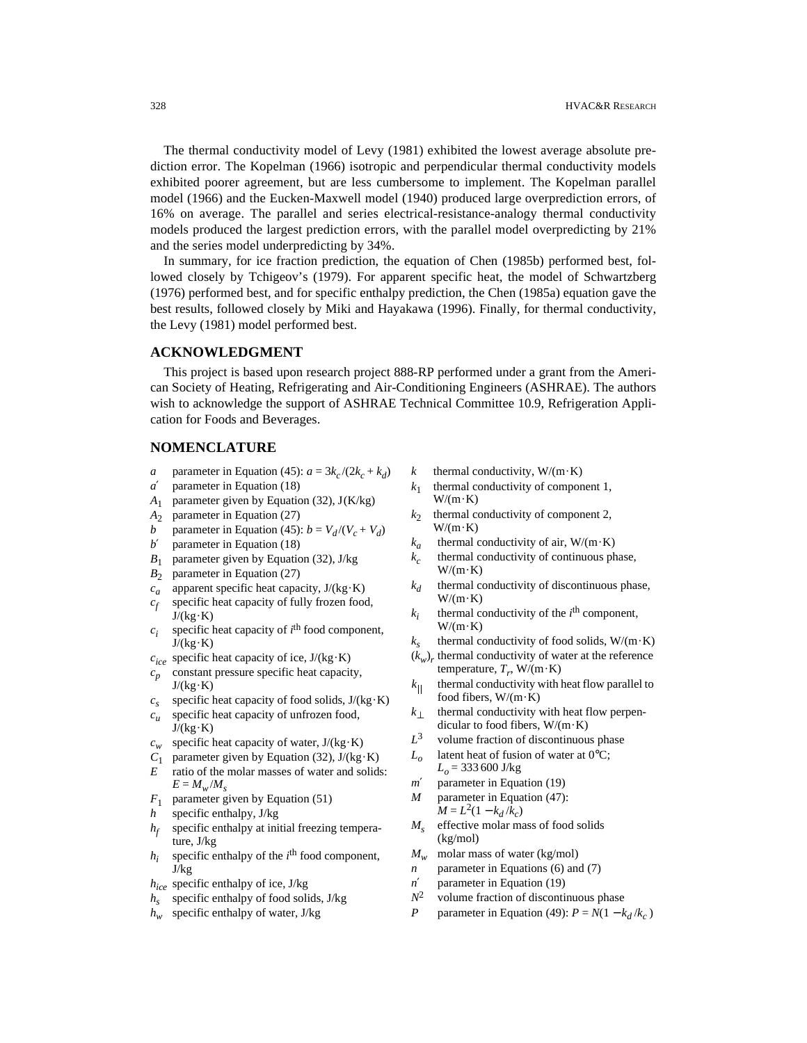The thermal conductivity model of Levy (1981) exhibited the lowest average absolute prediction error. The Kopelman (1966) isotropic and perpendicular thermal conductivity models exhibited poorer agreement, but are less cumbersome to implement. The Kopelman parallel model (1966) and the Eucken-Maxwell model (1940) produced large overprediction errors, of 16% on average. The parallel and series electrical-resistance-analogy thermal conductivity models produced the largest prediction errors, with the parallel model overpredicting by 21% and the series model underpredicting by 34%.

In summary, for ice fraction prediction, the equation of Chen (1985b) performed best, followed closely by Tchigeov's (1979). For apparent specific heat, the model of Schwartzberg (1976) performed best, and for specific enthalpy prediction, the Chen (1985a) equation gave the best results, followed closely by Miki and Hayakawa (1996). Finally, for thermal conductivity, the Levy (1981) model performed best.

## **ACKNOWLEDGMENT**

This project is based upon research project 888-RP performed under a grant from the American Society of Heating, Refrigerating and Air-Conditioning Engineers (ASHRAE). The authors wish to acknowledge the support of ASHRAE Technical Committee 10.9, Refrigeration Application for Foods and Beverages.

## **NOMENCLATURE**

- *a* parameter in Equation (45):  $a = 3k_c/(2k_c + k_d)$ <br>*a* parameter in Equation (18)
- parameter in Equation (18)
- $A_1$  parameter given by Equation (32),  $J(K/kg)$
- *A*<sup>2</sup> parameter in Equation (27)
- *b* parameter in Equation (45):  $b = V_d/(V_c + V_d)$ <br>*b'* parameter in Equation (18)
- parameter in Equation (18)
- $B_1$  parameter given by Equation (32), J/kg
- $B_2$  parameter in Equation (27)
- $c_a$  apparent specific heat capacity,  $J/(kg \cdot K)$
- *cf* specific heat capacity of fully frozen food,  $J/(kg \cdot K)$
- $c_i$  specific heat capacity of  $i<sup>th</sup>$  food component,  $J/(kg·K)$
- *cice* specific heat capacity of ice, J/(kg·K)
- *cp* constant pressure specific heat capacity,  $J/(kg \cdot K)$
- $c_s$  specific heat capacity of food solids,  $J/(kg \cdot K)$
- *cu* specific heat capacity of unfrozen food,  $J/(kg·K)$
- $c_w$  specific heat capacity of water,  $J/(kg \cdot K)$
- $C_1$  parameter given by Equation (32),  $J/(kg \cdot K)$
- *E* ratio of the molar masses of water and solids:  $E = M_w/M_s$
- $F_1$  parameter given by Equation (51)
- *h* specific enthalpy, J/kg
- $h_f$  specific enthalpy at initial freezing temperature, J/kg
- $h_i$  specific enthalpy of the  $i^{\text{th}}$  food component, J/kg
- *hice* specific enthalpy of ice, J/kg
- *hs* specific enthalpy of food solids, J/kg
- $h_w$  specific enthalpy of water, J/kg
- *k* thermal conductivity,  $W/(m \cdot K)$
- $k_1$  thermal conductivity of component 1,  $W/(m \cdot K)$
- $k<sub>2</sub>$  thermal conductivity of component 2,  $W/(m \cdot K)$
- $k_a$  thermal conductivity of air, W/(m·K)
- $k_c$  thermal conductivity of continuous phase,  $W/(m \cdot K)$
- $k_d$  thermal conductivity of discontinuous phase,  $W/(m \cdot K)$
- $k_i$  thermal conductivity of the  $i$ <sup>th</sup> component,  $W/(m \cdot K)$
- $k<sub>s</sub>$  thermal conductivity of food solids, W/(m·K)
- $(k_w)_r$  thermal conductivity of water at the reference temperature,  $T_r$ , W/(m·K)
- thermal conductivity with heat flow parallel to food fibers,  $W/(m \cdot K)$  $k_{\parallel}$
- *k*<sup>⊥</sup> thermal conductivity with heat flow perpendicular to food fibers,  $W/(m \cdot K)$
- $L^3$  volume fraction of discontinuous phase
- $L_0$  latent heat of fusion of water at 0°C;  $L<sub>o</sub>$  = 333 600 J/kg
- *m*′ parameter in Equation (19)
- *M* parameter in Equation (47):  $M = L^2(1 - k_d/k_c)$
- *Ms* effective molar mass of food solids (kg/mol)
- $M_w$  molar mass of water (kg/mol)
- *n* parameter in Equations (6) and (7)
- *n*′ parameter in Equation (19)
- $N^2$  volume fraction of discontinuous phase
- *P* parameter in Equation (49):  $P = N(1 k_d/k_c)$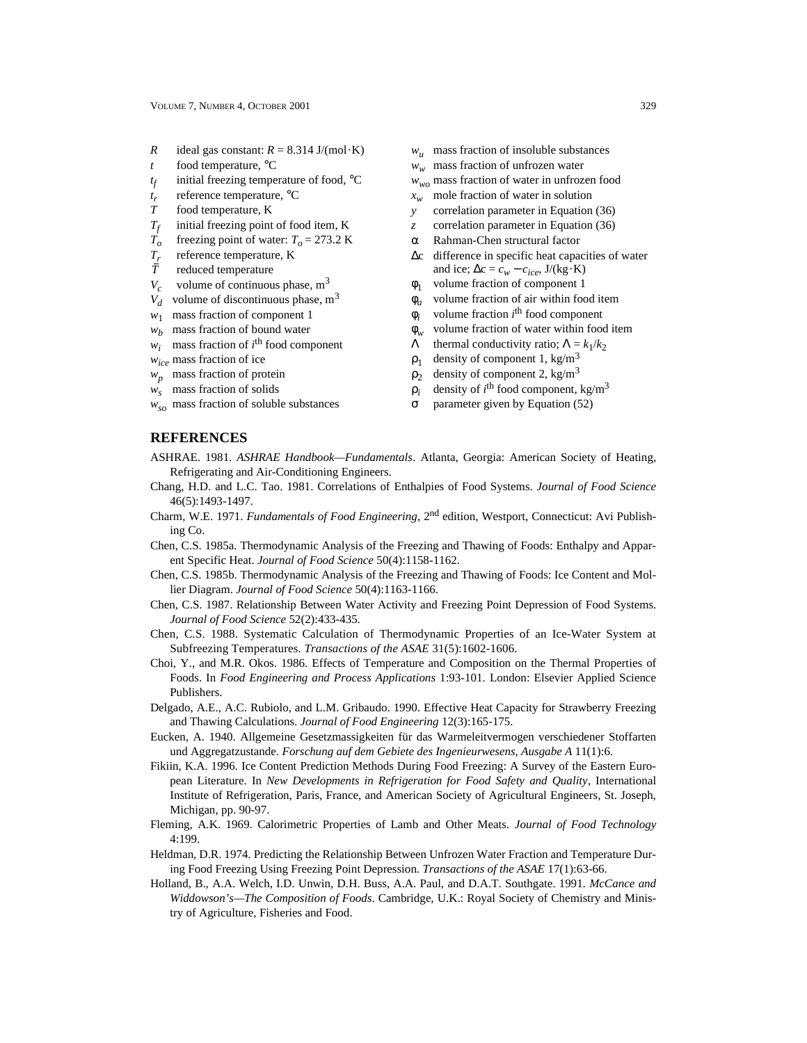- *R* ideal gas constant:  $R = 8.314$  J/(mol·K)
- *t* food temperature, °C
- $t_f$  initial freezing temperature of food,  $\degree$ C
- $t_r$  reference temperature, °C<br>  $T$  food temperature, K
- food temperature, K
- $T_f$  initial freezing point of food item, K<br> $T_o$  freezing point of water:  $T_o = 273.2$  K
- freezing point of water:  $T<sub>o</sub> = 273.2$  K
- *Tr* reference temperature, K  $\frac{T_r}{\bar{T}}$
- reduced temperature
- $V_c$  volume of continuous phase,  $m<sup>3</sup>$
- $V_d$  volume of discontinuous phase, m<sup>3</sup>
- *w*<sup>1</sup> mass fraction of component 1
- $w<sub>b</sub>$  mass fraction of bound water
- $w_i$  mass fraction of  $i^{\text{th}}$  food component
- *wice* mass fraction of ice
- *wp* mass fraction of protein
- *ws* mass fraction of solids
- *wso* mass fraction of soluble substances
- *wu* mass fraction of insoluble substances
- $w_w$  mass fraction of unfrozen water
- *wwo* mass fraction of water in unfrozen food
- $x_w$  mole fraction of water in solution
- *y* correlation parameter in Equation (36)
- *z* correlation parameter in Equation (36)
- α Rahman-Chen structural factor
- ∆c difference in specific heat capacities of water and ice;  $\Delta c = c_w - c_{ice}$ , J/(kg·K)
- $\phi_1$  volume fraction of component 1
- φ*<sup>a</sup>* volume fraction of air within food item
- $\phi_i$  volume fraction *i*<sup>th</sup> food component
- φ*<sup>w</sup>* volume fraction of water within food item
- $Λ$  thermal conductivity ratio;  $Λ = k_1/k_2$
- $\rho_1$  density of component 1, kg/m<sup>3</sup>
- $\rho_2$  density of component 2, kg/m<sup>3</sup>
- $\rho_i$  density of *i*<sup>th</sup> food component, kg/m<sup>3</sup>
- σ parameter given by Equation (52)

## **REFERENCES**

- ASHRAE. 1981. *ASHRAE Handbook—Fundamentals*. Atlanta, Georgia: American Society of Heating, Refrigerating and Air-Conditioning Engineers.
- Chang, H.D. and L.C. Tao. 1981. Correlations of Enthalpies of Food Systems. *Journal of Food Science* 46(5):1493-1497.
- Charm, W.E. 1971. *Fundamentals of Food Engineering*, 2nd edition, Westport, Connecticut: Avi Publishing Co.
- Chen, C.S. 1985a. Thermodynamic Analysis of the Freezing and Thawing of Foods: Enthalpy and Apparent Specific Heat. *Journal of Food Science* 50(4):1158-1162.
- Chen, C.S. 1985b. Thermodynamic Analysis of the Freezing and Thawing of Foods: Ice Content and Mollier Diagram. *Journal of Food Science* 50(4):1163-1166.
- Chen, C.S. 1987. Relationship Between Water Activity and Freezing Point Depression of Food Systems. *Journal of Food Science* 52(2):433-435.
- Chen, C.S. 1988. Systematic Calculation of Thermodynamic Properties of an Ice-Water System at Subfreezing Temperatures. *Transactions of the ASAE* 31(5):1602-1606.
- Choi, Y., and M.R. Okos. 1986. Effects of Temperature and Composition on the Thermal Properties of Foods. In *Food Engineering and Process Applications* 1:93-101. London: Elsevier Applied Science Publishers.
- Delgado, A.E., A.C. Rubiolo, and L.M. Gribaudo. 1990. Effective Heat Capacity for Strawberry Freezing and Thawing Calculations. *Journal of Food Engineering* 12(3):165-175.
- Eucken, A. 1940. Allgemeine Gesetzmassigkeiten für das Warmeleitvermogen verschiedener Stoffarten und Aggregatzustande. *Forschung auf dem Gebiete des Ingenieurwesens, Ausgabe A* 11(1):6.
- Fikiin, K.A. 1996. Ice Content Prediction Methods During Food Freezing: A Survey of the Eastern European Literature. In *New Developments in Refrigeration for Food Safety and Quality*, International Institute of Refrigeration, Paris, France, and American Society of Agricultural Engineers, St. Joseph, Michigan, pp. 90-97.
- Fleming, A.K. 1969. Calorimetric Properties of Lamb and Other Meats. *Journal of Food Technology* 4:199.
- Heldman, D.R. 1974. Predicting the Relationship Between Unfrozen Water Fraction and Temperature During Food Freezing Using Freezing Point Depression. *Transactions of the ASAE* 17(1):63-66.
- Holland, B., A.A. Welch, I.D. Unwin, D.H. Buss, A.A. Paul, and D.A.T. Southgate. 1991. *McCance and Widdowson's—The Composition of Foods*. Cambridge, U.K.: Royal Society of Chemistry and Ministry of Agriculture, Fisheries and Food.